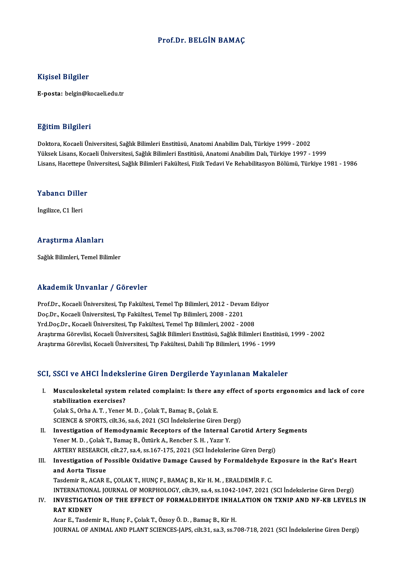## Prof.Dr. BELGİN BAMAÇ

### Kişisel Bilgiler

E-posta: belgin@kocaeli.edu.tr

#### Eğitim Bilgileri

Doktora, Kocaeli Üniversitesi, Sağlık Bilimleri Enstitüsü, Anatomi Anabilim Dalı, Türkiye 1999 - 2002 YüksekLisans,KocaeliÜniversitesi,SağlıkBilimleriEnstitüsü,AnatomiAnabilimDalı,Türkiye 1997 -1999 Lisans, Hacettepe Üniversitesi, Sağlık Bilimleri Fakültesi, Fizik Tedavi Ve Rehabilitasyon Bölümü, Türkiye 1981 - 1986

# Lisans, naceuepe d<br>Yabancı Diller Y<mark>abancı Dille</mark><br>İngilizce, C1 İleri

# İngilizce, C1 İleri<br>Araştırma Alanları

Sağlık Bilimleri, Temel Bilimler

## Akademik Unvanlar / Görevler

Prof.Dr., Kocaeli Üniversitesi, Tıp Fakültesi, Temel Tıp Bilimleri, 2012 - Devam Ediyor Doç.Dr., Kocaeli Üniversitesi, Tıp Fakültesi, Temel Tıp Bilimleri, 2008 - 2201 Yrd.Doç.Dr., Kocaeli Üniversitesi, Tıp Fakültesi, Temel Tıp Bilimleri, 2002 - 2008 AraştırmaGörevlisi,KocaeliÜniversitesi,SağlıkBilimleriEnstitüsü,SağlıkBilimleriEnstitüsü,1999 -2002 Araştırma Görevlisi, Kocaeli Üniversitesi, Tıp Fakültesi, Dahili Tıp Bilimleri, 1996 - 1999

### SCI, SSCI ve AHCI İndekslerine Giren Dergilerde Yayınlanan Makaleler

I. Musculoskeletal systemrelated complaint: Is there any effect of sports ergonomics and lack of core stabilization exercises?<br>Stabilization exercises?<br>Colak S. Orba A. T. Vener. Musculoskeletal system related complaint: Is there an<br>stabilization exercises?<br>Çolak S., Orha A. T. , Yener M. D. , Çolak T., Bamaç B., Çolak E.<br>SCIENCE & SPOPTS, silt 36, sa 6, 2021 (SCI İndekslerine Gire stabilization exercises?<br>Colak S., Orha A. T. , Yener M. D. , Çolak T., Bamaç B., Çolak E.<br>SCIENCE & SPORTS, cilt.36, sa.6, 2021 (SCI İndekslerine Giren Dergi)

- Colak S., Orha A. T. , Yener M. D. , Colak T., Bamaç B., Colak E.<br>SCIENCE & SPORTS, cilt.36, sa.6, 2021 (SCI Indekslerine Giren Dergi)<br>II. Investigation of Hemodynamic Receptors of the Internal Carotid Artery Segments<br>Vene Yener M.D., Çolak T., Bamaç B., Öztürk A., Rencber S.H., Yazır Y. Investigation of Hemodynamic Receptors of the Internal Carotid Artery<br>Yener M. D. , Çolak T., Bamaç B., Öztürk A., Rencber S. H. , Yazır Y.<br>ARTERY RESEARCH, cilt.27, sa.4, ss.167-175, 2021 (SCI İndekslerine Giren Dergi)<br>In ARTERY RESEARCH, cilt.27, sa.4, ss.167-175, 2021 (SCI İndekslerine Giren Dergi)
- III. Investigation of Possible Oxidative Damage Caused by Formaldehyde Exposure in the Rat's Heart and Aorta Tissue Tasdemir R., ACAR E., ÇOLAK T., HUNÇ F., BAMAÇ B., Kir H. M., ERALDEMİR F. C. and Aorta Tissue<br>Tasdemir R., ACAR E., ÇOLAK T., HUNÇ F., BAMAÇ B., Kir H. M. , ERALDEMİR F. C.<br>INVESTIC ATION OF THE FEEECT OF FORMALDEHVDE INHALATION ON TYNIR AND NE KR I EVELS<br>INVESTIC ATION OF THE FEEECT OF FORMALDEHVD

IV. INVESTIGATION OF THE EFFECT OF FORMALDEHYDE INHALATION ON TXNIP AND NF-KB LEVELS IN INTERNATION<br><mark>INVESTIGATI</mark><br>RAT KIDNEY<br><sup>Acar E</sup> Teeder

Acar E.,TasdemirR.,HunçF.,ÇolakT.,ÖzsoyÖ.D. ,BamaçB.,KirH. JOURNAL OF ANIMAL AND PLANT SCIENCES-JAPS, cilt.31, sa.3, ss.708-718, 2021 (SCI İndekslerine Giren Dergi)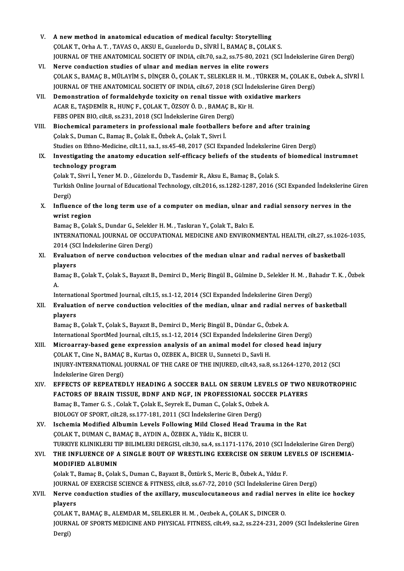- V. A new method in anatomical education of medical faculty: Storytelling A new method in anatomical education of medical faculty: Storytelling<br>ÇOLAK T., Orha A. T. , TAVAS O., AKSU E., Guzelordu D., SİVRİ İ., BAMAÇ B., ÇOLAK S.<br>JOUPMAL OF THE ANATOMICAL SOCIETY OF INDIA silt 70.88.2.88.75.80.20 JOURNAL OF THE ANATOMICAL SOCIETY OF INDIA, cilt.70, sa.2, ss.75-80, 2021 (SCI Indekslerine Giren Dergi)<br>VI. Nerve conduction studies of ulnar and median nerves in elite rowers COLAK T., Orha A. T., TAVAS O., AKSU E., Guzelordu D., SİVRİ İ., BAMAÇ B., COLA<br>JOURNAL OF THE ANATOMICAL SOCIETY OF INDIA, cilt.70, sa.2, ss.75-80, 2021<br>VI. Nerve conduction studies of ulnar and median nerves in elite row
- JOURNAL OF THE ANATOMICAL SOCIETY OF INDIA, cilt.70, sa.2, ss.75-80, 2021 (SCI İndekslerine Giren Dergi)<br>Nerve conduction studies of ulnar and median nerves in elite rowers<br>ÇOLAK S., BAMAÇ B., MÜLAYİM S., DİNÇER Ö., ÇOLAK Nerve conduction studies of ulnar and median nerves in elite rowers<br>ÇOLAK S., BAMAÇ B., MÜLAYİM S., DİNÇER Ö., ÇOLAK T., SELEKLER H. M. , TÜRKER M., ÇOLAK E.,<br>JOURNAL OF THE ANATOMICAL SOCIETY OF INDIA, cilt.67, 2018 (SCI COLAK S., BAMAC B., MÜLAYIM S., DINCER Ö., COLAK T., SELEKLER H. M., TÜRKER M., COLA<br>JOURNAL OF THE ANATOMICAL SOCIETY OF INDIA, cilt.67, 2018 (SCI Indekslerine Giren D.<br>VII. Demonstration of formaldehyde toxicity on rena
- JOURNAL OF THE ANATOMICAL SOCIETY OF INDIA, cilt.67, 2018 (SCI İnd<br>Demonstration of formaldehyde toxicity on renal tissue with oxi<br>ACAR E., TAŞDEMİR R., HUNÇ F., ÇOLAK T., ÖZSOY Ö. D. , BAMAÇ B., Kir H.<br>EERS OREN PIO, silt Demonstration of formaldehyde toxicity on renal tissue wi<br>ACAR E., TAŞDEMİR R., HUNÇ F., ÇOLAK T., ÖZSOY Ö. D. , BAMAÇ B.,<br>FEBS OPEN BIO, cilt.8, ss.231, 2018 (SCI İndekslerine Giren Dergi)<br>Piesbemisel peremeters in prefes ACAR E., TAŞDEMİR R., HUNÇ F., ÇOLAK T., ÖZSOY Ö. D., BAMAÇ B., Kir H.<br>FEBS OPEN BIO, cilt.8, ss.231, 2018 (SCI İndekslerine Giren Dergi)<br>VIII. Biochemical parameters in professional male footballers before and after train
- FEBS OPEN BIO, cilt.8, ss.231, 2018 (SCI İndekslerine Giren Der<br>Biochemical parameters in professional male footballer<br>Çolak S., Duman C., Bamaç B., Çolak E., Özbek A., Çolak T., Sivri İ.<br>Studies en Ethne Medisine, silt 11 Biochemical parameters in professional male footballers before and after training<br>Colak S., Duman C., Bamaç B., Colak E., Özbek A., Colak T., Sivri İ.<br>Studies on Ethno-Medicine, cilt.11, sa.1, ss.45-48, 2017 (SCI Expanded Colak S., Duman C., Bamaç B., Colak E., Özbek A., Colak T., Sivri İ.<br>Studies on Ethno-Medicine, cilt.11, sa.1, ss.45-48, 2017 (SCI Expanded İndekslerine Giren Dergi)<br>IX. Investigating the anatomy education self-efficacy be
- Studies on Ethno-Medici<br>Investigating the anat<br>technology program<br>Celek T. Sivri L. Voner M Investigating the anatomy education self-efficacy beliefs of the students<br>technology program<br>Çolak T., Sivri İ., Yener M. D. , Güzelordu D., Tasdemir R., Aksu E., Bamaç B., Çolak S.<br>Turkish Online Journal of Educational Te

technology program<br>Çolak T., Sivri İ., Yener M. D. , Güzelordu D., Tasdemir R., Aksu E., Bamaç B., Çolak S.<br>Turkish Online Journal of Educational Technology, cilt.2016, ss.1282-1287, 2016 (SCI Expanded İndekslerine Giren<br>D Çolak T., Sivri İ., Yener M. D., Güzelordu D., Tasdemir R., Aksu E., Bamaç B., Çolak S. Turkish Online Journal of Educational Technology, cilt.2016, ss.1282-1287, 2016 (SCI Expanded Indekslerine<br>Dergi)<br>X. Influence of the long termuse of a computer on median, ulnar and radial sensory nerves in the<br>surist regi

Dergi)<br>Influence of<br>wrist region<br><sup>Bomos B.</sup> Sele Influence of the long term use of a computer on median, ulnar al<br>wrist region<br>Bamaç B., Çolak S., Dundar G., Selekler H. M. , Taskıran Y., Çolak T., Balcı E.<br>INTERNATIONAL JOURNAL OF OCCURATIONAL MEDICINE AND ENVIRON

wrist region<br>Bamaç B., Çolak S., Dundar G., Selekler H. M. , Taskıran Y., Çolak T., Balcı E.<br>INTERNATIONAL JOURNAL OF OCCUPATIONAL MEDICINE AND ENVIRONMENTAL HEALTH, cilt.27, ss.1026-1035,<br>2014 (SCI İndekslerine Giren Derg Bamaç B., Çolak S., Dundar G., Selekler H. M., Taskıran Y., Çolak T., Balcı E. INTERNATIONAL JOURNAL OF OCCUPATIONAL MEDICINE AND ENVIRONMENTAL HEALTH, cilt.27, ss.102<br>2014 (SCI İndekslerine Giren Dergi)<br>XI. Evaluation of nerve conduction velocities of the median ulnar and radial nerves of basketball

2014 (SC)<br>Evaluati<br>players<br><sup>Pamac P</sup> Bvaluation of nerve conduction velocities of the median ulnar and radial nerves of basketball<br>players<br>Bamaç B., Çolak T., Çolak S., Bayazıt B., Demirci D., Meriç Bingül B., Gülmine D., Selekler H. M. , Bahadır T. K. , Özbe

pl<br>Ba<br>A. Bamaç B., Çolak T., Çolak S., Bayazıt B., Demirci D., Meriç Bingül B., Gülmine D., Selekler H. M. , Ba<br>A.<br>International Sportmed Journal, cilt.15, ss.1-12, 2014 (SCI Expanded İndekslerine Giren Dergi)<br>Evaluation of narva s

International Sportmed Journal, cilt.15, ss.1-12, 2014 (SCI Expanded Indekslerine Giren Dergi)

# A.<br>International Sportmed Journal, cilt.15, ss.1-12, 2014 (SCI Expanded Indekslerine Giren Dergi)<br>XII. Evaluation of nerve conduction velocities of the median, ulnar and radial nerves of basketball<br>players

Bamaç B., Çolak T., Çolak S., Bayazıt B., Demirci D., Meriç Bingül B., Dündar G., Özbek A. International SportMed Journal, cilt.15, ss.1-12, 2014 (SCI Expanded Indekslerine Giren Dergi)

- XIII. Microarray-based gene expression analysis of an animal model for closed head injury International SportMed Journal, cilt.15, ss.1-12, 2014 (SCI Expanded Indekslerin<br>Microarray-based gene expression analysis of an animal model for clo<br>COLAK T., Cine N., BAMAÇ B., Kurtas O., OZBEK A., BICER U., Sunnetci D., Microarray-based gene expression analysis of an animal model for closed head injury<br>ÇOLAK T., Cine N., BAMAÇ B., Kurtas O., OZBEK A., BICER U., Sunnetci D., Savli H.<br>INJURY-INTERNATIONAL JOURNAL OF THE CARE OF THE INJURED, COLAK T., Cine N., BAMAC<br>INJURY-INTERNATIONAL<br>İndekslerine Giren Dergi)<br>EEEECTS OF BEBEATED INJURY-INTERNATIONAL JOURNAL OF THE CARE OF THE INJURED, cilt.43, sa.8, ss.1264-1270, 2012 (SCI<br>Indekslerine Giren Dergi)<br>XIV. EFFECTS OF REPEATEDLY HEADING A SOCCER BALL ON SERUM LEVELS OF TWO NEUROTROPHIC<br>FACTORS OF RRAI
- indekslerine Giren Dergi)<br>EFFECTS OF REPEATEDLY HEADING A SOCCER BALL ON SERUM LEVELS OF TWO N<br>FACTORS OF BRAIN TISSUE, BDNF AND NGF, IN PROFESSIONAL SOCCER PLAYERS<br>Bamas B. Tamar C.S., Colak T. Colak E. Sourak E. Duman C. EFFECTS OF REPEATEDLY HEADING A SOCCER BALL ON SERUM LEVE<br>FACTORS OF BRAIN TISSUE, BDNF AND NGF, IN PROFESSIONAL SOCC.<br>Bamaç B., Tamer G. S. , Colak T., Çolak E., Seyrek E., Duman C., Çolak S., Ozbek A.<br>PIOLOCY OF SPOPT si FACTORS OF BRAIN TISSUE, BDNF AND NGF, IN PROFESSIONAL SOOT<br>Bamaç B., Tamer G. S. , Colak T., Çolak E., Seyrek E., Duman C., Çolak S., Ozbek<br>BIOLOGY OF SPORT, cilt.28, ss.177-181, 2011 (SCI İndekslerine Giren Dergi)<br>Issbam BIOLOGY OF SPORT, cilt.28, ss.177-181, 2011 (SCI İndekslerine Giren Dergi)
- Bamaç B., Tamer G. S. , Colak T., Çolak E., Seyrek E., Duman C., Çolak S., Ozbek A.<br>BIOLOGY OF SPORT, cilt.28, ss.177-181, 2011 (SCI İndekslerine Giren Dergi)<br>XV. Ischemia Modified Albumin Levels Following Mild Closed Head TURKIYE KLINIKLERI TIP BILIMLERI DERGISI, cilt.30, sa.4, ss.1171-1176, 2010 (SCI İndekslerine Giren Dergi) COLAK T., DUMAN C., BAMAÇ B., AYDIN A., ÖZBEK A., Yildiz K., BICER U.<br>TURKIYE KLINIKLERI TIP BILIMLERI DERGISI, cilt.30, sa.4, ss.1171-1176, 2010 (SCI İndekslerine Giren Dergi)<br>XVI. THE INFLUENCE OF A SINGLE BOUT OF WR
- TURKIYE KLINIKLERI TI<br>THE INFLUENCE OF A<br>MODIFIED ALBUMIN<br>Colak T. Bamaa B. Colak THE INFLUENCE OF A SINGLE BOUT OF WRESTLING EXERCISE ON SERUM L<br>MODIFIED ALBUMIN<br>Çolak T., Bamaç B., Çolak S., Duman C., Bayazıt B., Öztürk S., Meric B., Özbek A., Yıldız F.<br>JOUPMAL OF EXERCISE SCIENCE & EITNESS. gilt 8, s

MODIFIED ALBUMIN<br>Çolak T., Bamaç B., Çolak S., Duman C., Bayazıt B., Öztürk S., Meric B., Özbek A., Yıldız F.<br>JOURNAL OF EXERCISE SCIENCE & FITNESS, cilt.8, ss.67-72, 2010 (SCI İndekslerine Giren Dergi)<br>Narve sondustion st Colak T., Bamaç B., Colak S., Duman C., Bayazıt B., Öztürk S., Meric B., Özbek A., Yıldız F.<br>JOURNAL OF EXERCISE SCIENCE & FITNESS, cilt.8, ss.67-72, 2010 (SCI İndekslerine Giren Dergi)<br>XVII. Nerve conduction studies of th

**JOURNAI<br>Nerve c<br>players** Nerve conduction studies of the axillary, musculocutaneous and radial ner<br>players<br>COLAK T., BAMAÇ B., ALEMDAR M., SELEKLER H. M. , Oezbek A., COLAK S., DINCER O.<br>JOURNAL OF SPOPTS MEDICINE AND PHYSICAL EITNESS, silt 49, ss

players<br>ÇOLAK T., BAMAÇ B., ALEMDAR M., SELEKLER H. M. , Oezbek A., ÇOLAK S., DINCER O.<br>JOURNAL OF SPORTS MEDICINE AND PHYSICAL FITNESS, cilt.49, sa.2, ss.224-231, 2009 (SCI İndekslerine Giren ÇOLAF<br>JOURN<br>Dergi)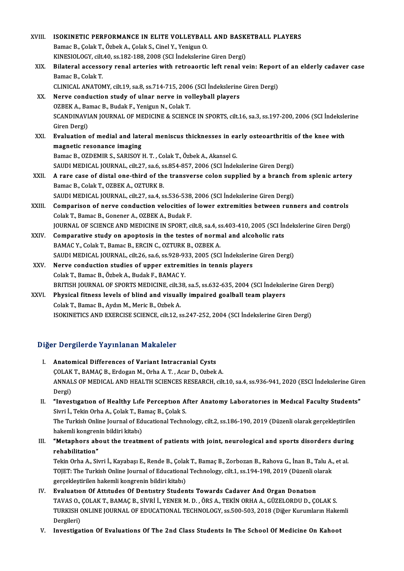| XVIII. | ISOKINETIC PERFORMANCE IN ELITE VOLLEYBALL AND BASKETBALL PLAYERS                                                                           |
|--------|---------------------------------------------------------------------------------------------------------------------------------------------|
|        | Bamac B., Çolak T., Özbek A., Çolak S., Cinel Y., Yenigun O.                                                                                |
|        | KINESIOLOGY, cilt.40, ss.182-188, 2008 (SCI İndekslerine Giren Dergi)                                                                       |
| XIX.   | Bilateral accessory renal arteries with retroaortic left renal vein: Report of an elderly cadaver case<br>Bamac B., Colak T.                |
|        | CLINICAL ANATOMY, cilt.19, sa.8, ss.714-715, 2006 (SCI Indekslerine Giren Dergi)                                                            |
| XX.    | Nerve conduction study of ulnar nerve in volleyball players                                                                                 |
|        | OZBEK A., Bamac B., Budak F., Yenigun N., Colak T.                                                                                          |
|        | SCANDINAVIAN JOURNAL OF MEDICINE & SCIENCE IN SPORTS, cilt.16, sa.3, ss.197-200, 2006 (SCI İndekslerine                                     |
|        | Giren Dergi)                                                                                                                                |
| XXI.   | Evaluation of medial and lateral meniscus thicknesses in early osteoarthritis of the knee with                                              |
|        | magnetic resonance imaging                                                                                                                  |
|        | Bamac B., OZDEMIR S., SARISOY H. T., Colak T., Özbek A., Akansel G.                                                                         |
|        | SAUDI MEDICAL JOURNAL, cilt.27, sa.6, ss.854-857, 2006 (SCI İndekslerine Giren Dergi)                                                       |
| XXII.  | A rare case of distal one-third of the transverse colon supplied by a branch from splenic artery<br>Bamac B., Colak T., OZBEK A., OZTURK B. |
|        | SAUDI MEDICAL JOURNAL, cilt.27, sa.4, ss.536-538, 2006 (SCI Indekslerine Giren Dergi)                                                       |
| XXIII. | Comparison of nerve conduction velocities of lower extremities between runners and controls                                                 |
|        | Colak T., Bamac B., Gonener A., OZBEK A., Budak F.                                                                                          |
|        | JOURNAL OF SCIENCE AND MEDICINE IN SPORT, cilt.8, sa.4, ss.403-410, 2005 (SCI Indekslerine Giren Dergi)                                     |
| XXIV.  | Comparative study on apoptosis in the testes of normal and alcoholic rats                                                                   |
|        | BAMAC Y., Colak T., Bamac B., ERCIN C., OZTURK B., OZBEK A.                                                                                 |
|        | SAUDI MEDICAL JOURNAL, cilt.26, sa.6, ss.928-933, 2005 (SCI Indekslerine Giren Dergi)                                                       |
| XXV.   | Nerve conduction studies of upper extremities in tennis players                                                                             |
|        | Colak T., Bamac B., Özbek A., Budak F., BAMAC Y.                                                                                            |
|        | BRITISH JOURNAL OF SPORTS MEDICINE, cilt.38, sa.5, ss.632-635, 2004 (SCI İndekslerine Giren Dergi)                                          |
| XXVI.  | Physical fitness levels of blind and visually impaired goalball team players                                                                |
|        | Colak T., Bamac B., Aydın M., Meric B., Ozbek A.                                                                                            |
|        | ISOKINETICS AND EXERCISE SCIENCE, cilt.12, ss.247-252, 2004 (SCI Indekslerine Giren Dergi)                                                  |
|        |                                                                                                                                             |

# Diğer Dergilerde Yayınlanan Makaleler

- I. Anatomical Differences of Variant Intracranial Cysts ÇOLAK T., BAMAÇ B., Erdogan M., Orha A. T., Acar D., Ozbek A. Anatomical Differences of Variant Intracranial Cysts<br>ÇOLAK T., BAMAÇ B., Erdogan M., Orha A. T. , Acar D., Ozbek A.<br>ANNALS OF MEDICAL AND HEALTH SCIENCES RESEARCH, cilt.10, sa.4, ss.936-941, 2020 (ESCI İndekslerine Giren<br>P COLAK<br>ANNAL<br>Dergi)<br>"Inves I . ANNALS OF MEDICAL AND HEALTH SCIENCES RESEARCH, cilt.10, sa.4, ss.936-941, 2020 (ESCI indekslerine Gire<br>Dergi)<br>II. "Investigation of Healthy Life Perception After Anatomy Laboratories in Medical Faculty Students"<br>Simi
- Dergi)<br>**"Investigation of Healthy Life Perception A**<br>Sivri İ., Tekin Orha A., Çolak T., Bamaç B., Çolak S.<br>The Turkish Orline Journal of Educational Techn II. "Investigation of Healthy Life Perception After Anatomy Laboratories in Medical Faculty Students"<br>Sivri İ., Tekin Orha A., Çolak T., Bamaç B., Çolak S.<br>The Turkish Online Journal of Educational Technology, cilt.2, ss.1 Sivri İ., Tekin Orha A., Çolak T., Ba<br>The Turkish Online Journal of Ed<br>hakemli kongrenin bildiri kitabı)<br>"Metanhors about the treatm The Turkish Online Journal of Educational Technology, cilt.2, ss.186-190, 2019 (Düzenli olarak gerçekleştirilen<br>hakemli kongrenin bildiri kitabı)<br>III. "Metaphors about the treatment of patients with joint, neurological and
- hakemli kongren<br>**"Metaphors ab<br>rehabilitation"**<br>Tekin Orbe A. Sir **"Metaphors about the treatment of patients with joint, neurological and sports disorders durin<br>rehabilitation"**<br>Tekin Orha A., Sivri İ., Kayabaşı E., Rende B., Çolak T., Bamaç B., Zorbozan B., Rahova G., İnan B., Talu A.,

rehabilitation"<br>Tekin Orha A., Sivri İ., Kayabaşı E., Rende B., Çolak T., Bamaç B., Zorbozan B., Rahova G., İnan B., Talu A.,<br>TOJET: The Turkish Online Journal of Educational Technology, cilt.1, ss.194-198, 2019 (Düzenli o Tekin Orha A., Sivri İ., Kayabaşı E., Rende B., Çolal<br>TOJET: The Turkish Online Journal of Educational<br>gerçekleştirilen hakemli kongrenin bildiri kitabı)<br>Evaluation Of Attitudes Of Dontiatru Studen TOJET: The Turkish Online Journal of Educational Technology, cilt.1, ss.194-198, 2019 (Düzenli olarak<br>gerçekleştirilen hakemli kongrenin bildiri kitabı)<br>IV. Evaluatıon Of Attıtudes Of Dentıstry Students Towards Cadaver And

- gerçekleştirilen hakemli kongrenin bildiri kitabı)<br>Evaluatıon Of Attıtudes Of Dentistry Students Towards Cadaver And Organ Donation<br>TAVAS O., ÇOLAK T., BAMAÇ B., SİVRİ İ., YENER M. D. , ÖRS A., TEKİN ORHA A., GÜZELORDU D., TURKISH ONLINE JOURNAL OF EDUCATIONAL TECHNOLOGY, ss.500-503, 2018 (Diğer Kurumların Hakemli Dergileri) TAVAS O.,<br>TURKISH (<br>Dergileri)<br>Investige
- V. Investigation Of Evaluations Of The 2nd Class Students In The School Of Medicine On Kahoot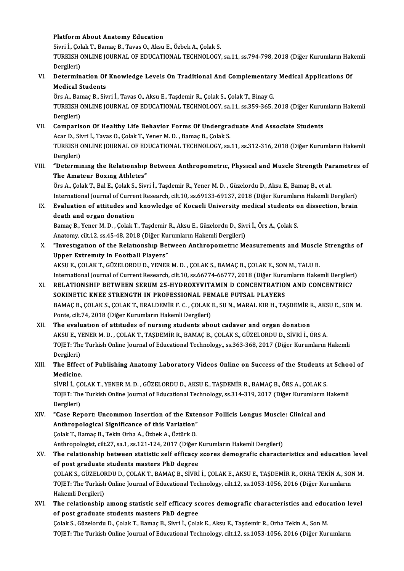### PlatformAbout Anatomy Education

Sivri İ., Çolak T., Bamaç B., Tavas O., Aksu E., Özbek A., Çolak S. Platform About Anatomy Education<br>Sivri İ., Çolak T., Bamaç B., Tavas O., Aksu E., Özbek A., Çolak S.<br>TURKISH ONLINE JOURNAL OF EDUCATIONAL TECHNOLOGY, sa.11, ss.794-798, 2018 (Diğer Kurumların Hakemli Sivri İ., Çol<br>TURKISH (<br>Dergileri)<br>Determin TURKISH ONLINE JOURNAL OF EDUCATIONAL TECHNOLOGY, sa.11, ss.794-798, 2018 (Diğer Kurumların Hak<br>Dergileri)<br>VI. Determination Of Knowledge Levels On Traditional And Complementary Medical Applications Of<br>Medical Students

Dergileri)<br>Determination Of<br>Medical Students<br>Örs A. Bamas B. Siv Determination Of Knowledge Levels On Traditional And Complementary<br>Medical Students<br>Örs A., Bamaç B., Sivri İ., Tavas O., Aksu E., Taşdemir R., Çolak S., Çolak T., Binay G.<br>TURKISH ONI INE JOURNAL OF EDUCATIONAL TECHNOLOCY

Medical Students<br>Örs A., Bamaç B., Sivri İ., Tavas O., Aksu E., Taşdemir R., Çolak S., Çolak T., Binay G.<br>TURKISH ONLINE JOURNAL OF EDUCATIONAL TECHNOLOGY, sa.11, ss.359-365, 2018 (Diğer Kurumların Hakemli<br>Dergileri) Örs A., Bar<br>TURKISH (<br>Dergileri)<br>Comparis TURKISH ONLINE JOURNAL OF EDUCATIONAL TECHNOLOGY, sa.11, ss.359-365, 2018 (Diğer Kurun<br>Dergileri)<br>VII. Comparison Of Healthy Life Behavior Forms Of Undergraduate And Associate Students<br>Associate Students

- Dergileri)<br>Comparison Of Healthy Life Behavior Forms Of Undergra<br>Acar D., Sivri İ., Tavas O., Çolak T., Yener M. D. , Bamaç B., Çolak S.<br>TURKISH ONLINE IQURNAL OF EDUCATIONAL TECHNOLOCY, S. TURKISH ONLINE JOURNAL OF EDUCATIONAL TECHNOLOGY, sa.11, ss.312-316, 2018 (Diğer Kurumların Hakemli Dergileri) Acar D., Sivri İ., Tavas O., Çolak T., Yener M. D., Bamaç B., Çolak S. TURKISH ONLINE JOURNAL OF EDUCATIONAL TECHNOLOGY, sa.11, ss.312-316, 2018 (Diğer Kurumların Hakemli<br>Dergileri)<br>VIII. "Determining the Relationship Between Anthropometric, Physical and Muscle Strength Parametres of<br>The Amat
- Dergileri)<br>"Determining the Relationship<br>The Amateur Boxing Athletes"<br>Öre A. Celak T. Bel E. Celak S. Sim "Determining the Relationship Between Anthropometric, Physical and Muscle Strength Pa<br>The Amateur Boxing Athletes"<br>Örs A., Çolak T., Bal E., Çolak S., Sivri İ., Taşdemir R., Yener M. D. , Güzelordu D., Aksu E., Bamaç B., e

The Amateur Boxing Athletes"<br>Örs A., Çolak T., Bal E., Çolak S., Sivri İ., Taşdemir R., Yener M. D. , Güzelordu D., Aksu E., Bamaç B., et al<br>International Journal of Current Research, cilt.10, ss.69133-69137, 2018 (Diğer K Örs A., Çolak T., Bal E., Çolak S., Sivri İ., Taşdemir R., Yener M. D. , Güzelordu D., Aksu E., Bamaç B., et al.<br>International Journal of Current Research, cilt.10, ss.69133-69137, 2018 (Diğer Kurumların Hakemli Dergileri)

International Journal of Curre<br>Evaluation of attitudes and<br>death and organ donation<br>Bames B. Vaner M.D. Galak I Evaluation of attitudes and knowledge of Kocaeli University medical students o<br>death and organ donation<br>Bamaç B., Yener M. D. , Çolak T., Taşdemir R., Aksu E., Güzelordu D., Sivri İ., Örs A., Çolak S.<br>Anatomy, silt 12, 304

death and organ donation<br>Bamaç B., Yener M. D. , Çolak T., Taşdemir R., Aksu E., Güzelordu D., Sivri İ., Örs A., Çolak S.<br>Anatomy, cilt.12, ss.45-48, 2018 (Diğer Kurumların Hakemli Dergileri)

X. "Investigation of the Relationship Between Anthropometric Measurements and Muscle Strengths of Upper Extremity in Football Players" "Investigation of the Relationship Between Anthropometric Measurements and Muscle<br>Upper Extremity in Football Players"<br>AKSU E., ÇOLAK T., GÜZELORDU D., YENER M. D. , ÇOLAK S., BAMAÇ B., ÇOLAK E., SON M., TALU B.<br>Internatio

Upper Extremity in Football Players"<br>AKSU E., ÇOLAK T., GÜZELORDU D., YENER M. D. , ÇOLAK S., BAMAÇ B., ÇOLAK E., SON M., TALU B.<br>International Journal of Current Research, cilt.10, ss.66774-66777, 2018 (Diğer Kurumların H AKSU E., ÇOLAK T., GÜZELORDU D., YENER M. D. , ÇOLAK S., BAMAÇ B., ÇOLAK E., SON M., TALU B.<br>International Journal of Current Research, cilt.10, ss.66774-66777, 2018 (Diğer Kurumların Hakemli Dergiler:<br>XI. RELATIONSHIP BET

- International Journal of Current Research, cilt.10, ss.66774-66777, 2018 (Diğer Kurumların Hakemli Dergileri)<br>RELATIONSHIP BETWEEN SERUM 25-HYDROXYVITAMIN D CONCENTRATION AND CONCENTRIC?<br>SOKINETIC KNEE STRENGTH IN PROFESSI BAMAÇB.,ÇOLAKS.,ÇOLAKT.,ERALDEMİRF.C. ,ÇOLAKE.,SUN.,MARALKIRH.,TAŞDEMİRR.,AKSUE.,SONM. Ponte, cilt.74, 2018 (Diğer Kurumların Hakemli Dergileri)
- XII. The evaluation of attitudes of nursing students about cadaver and organ donation AKSUE.,YENERM.D. ,ÇOLAKT.,TAŞDEMİRR.,BAMAÇB.,ÇOLAKS.,GÜZELORDUD.,SİVRİ İ.,ÖRSA. The evaluation of attitudes of nursing students about cadaver and organ donation<br>AKSU E., YENER M. D. , ÇOLAK T., TAŞDEMİR R., BAMAÇ B., ÇOLAK S., GÜZELORDU D., SİVRİ İ., ÖRS A.<br>TOJET: The Turkish Online Journal of Educati AKSU E., Y.<br>TOJET: The<br>Dergileri)<br>The Effec TOJET: The Turkish Online Journal of Educational Technology,, ss.363-368, 2017 (Diğer Kurumların Hakemli<br>Dergileri)<br>XIII. The Effect of Publishing Anatomy Laboratory Videos Online on Success of the Students at School o
- Dergileri)<br>The Effect<br>Medicine.<br>sivni i. CO The Effect of Publishing Anatomy Laboratory Videos Online on Success of the Students and<br>Medicine.<br>SİVRİ İ., ÇOLAK T., YENER M. D. , GÜZELORDU D., AKSU E., TAŞDEMİR R., BAMAÇ B., ÖRS A., ÇOLAK S.<br>TOLET: The Turkish Online

Medicine.<br>SİVRİ İ., ÇOLAK T., YENER M. D. , GÜZELORDU D., AKSU E., TAŞDEMİR R., BAMAÇ B., ÖRS A., ÇOLAK S.<br>TOJET: The Turkish Online Journal of Educational Technology, ss.314-319, 2017 (Diğer Kurumların Hakemli<br>Dergileri) SİVRİ İ., ÇOLAK T., YENER M. D., GÜZELORDU D., AKSU E., TAŞDEMİR R., BAMAÇ B., ÖRS A., ÇOLAK S. TOJET: The Turkish Online Journal of Educational Technology, ss.314-319, 2017 (Diğer Kurumların 1<br>Dergileri)<br>XIV. "Case Report: Uncommon Insertion of the Extensor Pollicis Longus Muscle: Clinical and<br>Anthropological Signif

Dergileri)<br>"Case Report: Uncommon Insertion of the Exte<br>Anthropological Significance of this Variation"<br>Colak T. Pamas B. Tokin Orba A. Örbek A. Örtürk O Anthropological Significance of this Variation"<br>Colak T., Bamaç B., Tekin Orha A., Özbek A., Öztürk O. Anthropological Significance of this Variation"<br>Çolak T., Bamaç B., Tekin Orha A., Özbek A., Öztürk O.<br>Anthropologist, cilt.27, sa.1, ss.121-124, 2017 (Diğer Kurumların Hakemli Dergileri)<br>The relationship between statistic Colak T., Bamaç B., Tekin Orha A., Özbek A., Öztürk O.<br>Anthropologist, cilt.27, sa.1, ss.121-124, 2017 (Diğer Kurumların Hakemli Dergileri)<br>XV. The relationship between statistic self efficacy scores demografic charact

- Anthropologist, cilt.27, sa.1, ss.121-124, 2017 (Diğer I<br>The relationship between statistic self efficacy<br>of post graduate students masters PhD degree<br>COLAKS CÜZELOPDUD, COLAKT PAMACP, SİVPİ The relationship between statistic self efficacy scores demografic characteristics and education leve<br>of post graduate students masters PhD degree<br>ÇOLAK S., GÜZELORDU D., ÇOLAK T., BAMAÇ B., SİVRİ İ., ÇOLAK E., AKSU E., TA of post graduate students masters PhD degree<br>ÇOLAK S., GÜZELORDU D., ÇOLAK T., BAMAÇ B., SİVRİ İ., ÇOLAK E., AKSU E., TAŞDEMİR R., ORHA TEKİN A., SOI<br>TOJET: The Turkish Online Journal of Educational Technology, cilt.12, ss ÇOLAK S., GÜZELOF<br>TOJET: The Turkish<br>Hakemli Dergileri)<br>The relationshin TOJET: The Turkish Online Journal of Educational Technology, cilt.12, ss.1053-1056, 2016 (Diğer Kurumların<br>Hakemli Dergileri)<br>XVI. The relationship among statistic self efficacy scores demografic characteristics and educat
- Hakemli Dergileri)<br>The relationship among statistic self efficacy so<br>of post graduate students masters PhD degree<br>Selak S. Sürelerdu D. Selak T. Bamae B. Simi L. Sela The relationship among statistic self efficacy scores demografic characteristics and educ<br>of post graduate students masters PhD degree<br>Çolak S., Güzelordu D., Çolak T., Bamaç B., Sivri İ., Çolak E., Aksu E., Taşdemir R., O

of post graduate students masters PhD degree<br>Çolak S., Güzelordu D., Çolak T., Bamaç B., Sivri İ., Çolak E., Aksu E., Taşdemir R., Orha Tekin A., Son M.<br>TOJET: The Turkish Online Journal of Educational Technology, cilt.12,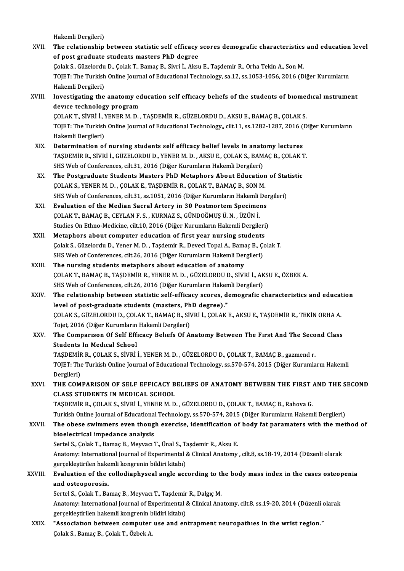Hakemli Dergileri)

- Hakemli Dergileri)<br>XVII. The relationship between statistic self efficacy scores demografic characteristics and education level Hakemli Dergileri)<br>The relationship between statistic self efficacy<br>of post graduate students masters PhD degree<br>Celak S. Gürelerdu D. Celak T. Bamae B. Simi İ. Almı The relationship between statistic self efficacy scores demografic characteristics<br>of post graduate students masters PhD degree<br>Çolak S., Güzelordu D., Çolak T., Bamaç B., Sivri İ., Aksu E., Taşdemir R., Orha Tekin A., Son of post graduate students masters PhD degree<br>Çolak S., Güzelordu D., Çolak T., Bamaç B., Sivri İ., Aksu E., Taşdemir R., Orha Tekin A., Son M.<br>TOJET: The Turkish Online Journal of Educational Technology, sa.12, ss.1053-105 Colak S., Güzelordu<br>TOJET: The Turkish<br>Hakemli Dergileri)<br>Investisating the TOJET: The Turkish Online Journal of Educational Technology, sa.12, ss.1053-1056, 2016 (Diğer Kurumların<br>Hakemli Dergileri)<br>XVIII. Investigating the anatomy education self efficacy beliefs of the students of biomedical ins
- Hakemli Dergileri)<br>Investigating the anatomy ed<br>device technology program<br>COLAKT Sivpli LYENEP M.D Investigating the anatomy education self efficacy beliefs of the students of biomed<br>device technology program<br>ÇOLAK T., SİVRİ İ., YENER M. D. , TAŞDEMİR R., GÜZELORDU D., AKSU E., BAMAÇ B., ÇOLAK S.<br>TOLET: The Turkish Onli

device technology program<br>ÇOLAK T., SİVRİ İ., YENER M. D. , TAŞDEMİR R., GÜZELORDU D., AKSU E., BAMAÇ B., ÇOLAK S.<br>TOJET: The Turkish Online Journal of Educational Technology,, cilt.11, ss.1282-1287, 2016 (Diğer Kurumların COLAK T., SİVRİ İ., Y<br>TOJET: The Turkish<br>Hakemli Dergileri)<br>Determination of TOJET: The Turkish Online Journal of Educational Technology, cilt.11, ss.1282-1287, 2016 (<br>Hakemli Dergileri)<br>XIX. Determination of nursing students self efficacy belief levels in anatomy lectures<br>TASDEMIP P. SUPLI CÜZELOP

- Hakemli Dergileri)<br>TAŞDEMİRR., SİVRİ İ., GÜZELORDUD., YENER M. D. , AKSU E., ÇOLAK S., BAMAÇ B., ÇOLAK T.<br>TAŞDEMİR R., SİVRİ İ., GÜZELORDUD., YENER M. D. , AKSU E., ÇOLAK S., BAMAÇ B., ÇOLAK T. SHS Web of Conferences, cilt.31, 2016 (Diğer Kurumların Hakemli Dergileri) TAŞDEMİR R., SİVRİ İ., GÜZELORDU D., YENER M. D., AKSU E., ÇOLAK S., BAMAÇ B., ÇOLAK T<br>SHS Web of Conferences, cilt.31, 2016 (Diğer Kurumların Hakemli Dergileri)<br>XX. The Postgraduate Students Masters PhD Metaphors About Ed
- SHS Web of Conferences, cilt.31, 2016 (Diğer Kurumların Hakemli Dergileri)<br>The Postgraduate Students Masters PhD Metaphors About Education<br>ÇOLAK S., YENER M. D. , ÇOLAK E., TAŞDEMİR R., ÇOLAK T., BAMAÇ B., SON M.<br>SYS Web o The Postgraduate Students Masters PhD Metaphors About Education of Stat<br>COLAK S., YENER M. D. , COLAK E., TAŞDEMİR R., COLAK T., BAMAÇ B., SON M.<br>SHS Web of Conferences, cilt.31, ss.1051, 2016 (Diğer Kurumların Hakemli Der COLAK S., YENER M. D., COLAK E., TAŞDEMİR R., COLAK T., BAMAÇ B., SON M.<br>SHS Web of Conferences, cilt.31, ss.1051, 2016 (Diğer Kurumların Hakemli De:<br>XXI. Braluation of the Median Sacral Artery in 30 Postmortem Specimens<br>C
- SHS Web of Conferences, cilt.31, ss.1051, 2016 (Diğer Kurumların Hakemli Dergileri)<br>Evaluation of the Median Sacral Artery in 30 Postmortem Specimens<br>COLAK T., BAMAÇ B., CEYLAN F. S., KURNAZ S., GÜNDOĞMUŞ Ü. N., ÜZÜN İ. Evaluation of the Median Sacral Artery in 30 Postmortem Specimens<br>COLAK T., BAMAÇ B., CEYLAN F. S. , KURNAZ S., GÜNDOĞMUŞ Ü. N. , ÜZÜN İ.<br>Studies On Ethno-Medicine, cilt.10, 2016 (Diğer Kurumların Hakemli Dergileri)<br>Mataph COLAK T., BAMAC B., CEYLAN F. S., KURNAZ S., GÜNDOĞMUŞ Ü. N., ÜZÜN İ.<br>Studies On Ethno-Medicine, cilt.10, 2016 (Diğer Kurumların Hakemli Dergileri<br>XXII. Metaphors about computer education of first year nursing students<br>Col
- Studies On Ethno-Medicine, cilt.10, 2016 (Diğer Kurumların Hakemli Dergileri)<br>Metaphors about computer education of first year nursing students<br>Çolak S., Güzelordu D., Yener M. D. , Taşdemir R., Deveci Topal A., Bamaç B., Metaphors about computer education of first year nursing students<br>Çolak S., Güzelordu D., Yener M. D. , Taşdemir R., Deveci Topal A., Bamaç B., Ç.<br>SHS Web of Conferences, cilt.26, 2016 (Diğer Kurumların Hakemli Dergileri)<br> Colak S., Güzelordu D., Yener M. D., Taşdemir R., Deveci Topal A., Bama<br>SHS Web of Conferences, cilt.26, 2016 (Diğer Kurumların Hakemli Der<br>XXIII. The nursing students metaphors about education of anatomy<br>COLAKT BAMAC B. T
- SHS Web of Conferences, cilt.26, 2016 (Diğer Kurumların Hakemli Dergileri)<br>The nursing students metaphors about education of anatomy<br>ÇOLAK T., BAMAÇ B., TAŞDEMİR R., YENER M. D. , GÜZELORDU D., SİVRİ İ., AKSU E., ÖZBEK A.<br> The nursing students metaphors about education of anatomy<br>COLAK T., BAMAC B., TAŞDEMİR R., YENER M. D. , GÜZELORDU D., SİVRİ İ., AK<br>SHS Web of Conferences, cilt.26, 2016 (Diğer Kurumların Hakemli Dergileri)<br>The relationshi SHS Web of Conferences, cilt.26, 2016 (Diğer Kurumların Hakemli Dergileri).
- XXIV. The relationship between statistic self-efficacy scores, demografic characteristics and education<br>level of post-graduate students (masters, PhD degree)." The relationship between statistic self-efficacy scores, demografic characteristics and educat<br>level of post-graduate students (masters, PhD degree)."<br>ÇOLAK S., GÜZELORDU D., ÇOLAK T., BAMAÇ B., SİVRİ İ., ÇOLAK E., AKSU E. level of post-graduate students (masters, Ph<br>ÇOLAK S., GÜZELORDU D., ÇOLAK T., BAMAÇ B., Sİ<br>Tojet, 2016 (Diğer Kurumların Hakemli Dergileri)<br>The Companison Of Self Effisasu Balıafa Of A. COLAK S., GÜZELORDU D., COLAK T., BAMAÇ B., SİVRİ İ., COLAK E., AKSU E., TAŞDEMİR R., TEKİN ORHA A.<br>Tojet, 2016 (Diğer Kurumların Hakemli Dergileri)<br>XXV. The Comparison Of Self Efficacy Beliefs Of Anatomy Between The F
- Tojet, 2016 (Diğer Kurumların Hakemli Dergileri)<br>The Comparison Of Self Efficacy Beliefs Of Anatomy Between The First And The Second Class<br>Students In Medical School The Comparison Of Self Efficacy Beliefs Of Anatomy Between The First And The Seco<br>Students In Medical School<br>TAŞDEMİR R., ÇOLAK S., SİVRİ İ., YENER M. D. , GÜZELORDU D., ÇOLAK T., BAMAÇ B., gazmend r.<br>TOIET: The Turkish Op Students In Medıcal School<br>TAŞDEMİR R., ÇOLAK S., SİVRİ İ., YENER M. D. , GÜZELORDU D., ÇOLAK T., BAMAÇ B., gazmend r.<br>TOJET: The Turkish Online Journal of Educational Technology, ss.570-574, 2015 (Diğer Kurumların Hakemli TAŞDEMİF<br>TOJET: The<br>Dergileri)<br>THE COM
- TOJET: The Turkish Online Journal of Educational Technology, ss.570-574, 2015 (Diğer Kurumların Hakemli<br>Dergileri)<br>XXVI. THE COMPARISON OF SELF EFFICACY BELIEFS OF ANATOMY BETWEEN THE FIRST AND THE SECOND Dergileri)<br>THE COMPARISON OF SELF EFFICACY BELIEFS OF ANATOMY BETWEEN THE FIRST AND THE SECOND<br>CLASS STUDENTS IN MEDICAL SCHOOL THE COMPARISON OF SELF EFFICACY BELIEFS OF ANATOMY BETWEEN THE FIRST .<br>CLASS STUDENTS IN MEDICAL SCHOOL<br>TAŞDEMİR R., ÇOLAK S., SİVRİ İ., YENER M. D. , GÜZELORDU D., ÇOLAK T., BAMAÇ B., Rahova G.<br>Turkish Online Journal of E

CLASS STUDENTS IN MEDICAL SCHOOL<br>TAŞDEMİR R., ÇOLAK S., SİVRİ İ., YENER M. D. , GÜZELORDU D., ÇOLAK T., BAMAÇ B., Rahova G.<br>Turkish Online Journal of Educational Technology, ss.570-574, 2015 (Diğer Kurumların Hakemli Dergi TAŞDEMİR R., ÇOLAK S., SİVRİ İ., YENER M. D. , GÜZELORDU D., ÇOLAK T., BAMAÇ B., Rahova G.<br>Turkish Online Journal of Educational Technology, ss.570-574, 2015 (Diğer Kurumların Hakemli Dergileri)<br>XXVII. The obese swimme

Turkish Online Journal of Educational Technology, ss.570-574, 2015 (Diğer Kurumların Hakemli Dergileri)<br>The obese swimmers even though exercise, identification of body fat paramaters with the met<br>bioelectrical impedance an The obese swimmers even though exercise, identification of<br>bioelectrical impedance analysis<br>Sertel S., Çolak T., Bamaç B., Meyvacı T., Ünal S., Taşdemir R., Aksu E.<br>Anatomy, International Journal of Experimental & Clinical bioelectrical impedance analysis<br>Sertel S., Çolak T., Bamaç B., Meyvacı T., Ünal S., Taşdemir R., Aksu E.<br>Anatomy: International Journal of Experimental & Clinical Anatomy , cilt.8, ss.18-19, 2014 (Düzenli olarak<br>Gersekles Sertel S., Çolak T., Bamaç B., Meyvacı T., Ünal S., T.<br>Anatomy: International Journal of Experimental {<br>gerçekleştirilen hakemli kongrenin bildiri kitabı)<br>Evaluation of the selledianhyseal angle ass Anatomy: International Journal of Experimental & Clinical Anatomy , cilt.8, ss.18-19, 2014 (Düzenli olarak<br>gerçekleştirilen hakemli kongrenin bildiri kitabı)<br>XXVIII. Evaluation of the collodiaphyseal angle according to the gerçekleştirilen hakemli kongrenin bildiri kitabı)<br>Evaluation of the collodiaphyseal angle according to the<br>and osteoporosis.<br>Sertel S., Çolak T., Bamaç B., Meyvacı T., Taşdemir R., Dalgıç M. Evaluation of the collodiaphyseal angle according to the body mass index in the cases osteopenia

and osteoporosis.<br>Sertel S., Çolak T., Bamaç B., Meyvacı T., Taşdemir R., Dalgıç M.<br>Anatomy: International Journal of Experimental & Clinical Anatomy, cilt.8, ss.19-20, 2014 (Düzenli olarak<br>Serseklestirilen hekemli kongren Sertel S., Çolak T., Bamaç B., Meyvacı T., Taşdemir<br>Anatomy: International Journal of Experimental {<br>gerçekleştirilen hakemli kongrenin bildiri kitabı)<br>"Assosittion hatuson somnutar use and on Anatomy: International Journal of Experimental & Clinical Anatomy, cilt.8, ss.19-20, 2014 (Düzenli c<br>gerçekleştirilen hakemli kongrenin bildiri kitabı)<br>XXIX. "Associatıon between computer use and entrapment neuropathıes in

gerçekleştirilen hakemli kongrenin bildiri kitabı)<br>"Associatıon between computer use and entrapment neuropathıes in the wrist region."<br>Çolak S., Bamaç B., Çolak T., Özbek A.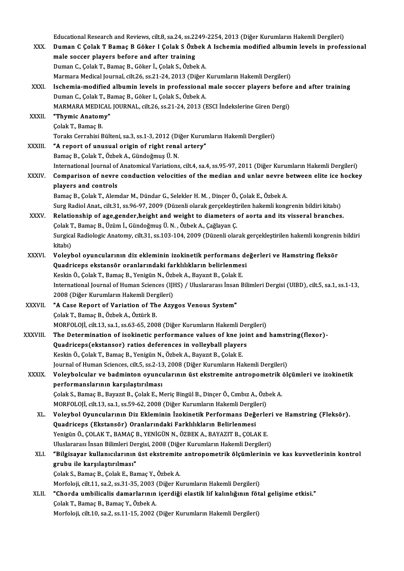Educational Research and Reviews, cilt.8, sa.24, ss.2249-2254, 2013 (Diğer Kurumların Hakemli Dergileri)<br>Duman G Golak T Bamas B Gölsen LGolak S Örbek A Jashamia modified albumin levels in nnafse Educational Research and Reviews, cilt.8, sa.24, ss.2249-2254, 2013 (Diğer Kurumların Hakemli Dergileri)<br>XXX. Duman C Çolak T Bamaç B Göker I Çolak S Özbek A Ischemia modified albumin levels in professional Educational Research and Reviews, cilt.8, sa.24, ss.22<br>Duman C Çolak T Bamaç B Göker I Çolak S Özb<br>male soccer players before and after training<br>Duman C Colak T Bamas B Gökar L Colak S. Özbə Duman C Çolak T Bamaç B Göker I Çolak S Özbek<br>male soccer players before and after training<br>Duman C., Çolak T., Bamaç B., Göker İ., Çolak S., Özbek A.<br>Marmara Madisal Journal, silt 26, 89,21,24, 2012 (Dižar male soccer players before and after training<br>Duman C., Çolak T., Bamaç B., Göker İ., Çolak S., Özbek A.<br>Marmara Medical Journal, cilt.26, ss.21-24, 2013 (Diğer Kurumların Hakemli Dergileri) Duman C., Çolak T., Bamaç B., Göker İ., Çolak S., Özbek A.<br>Marmara Medical Journal, cilt.26, ss.21-24, 2013 (Diğer Kurumların Hakemli Dergileri)<br>XXXI. Ischemia-modified albumin levels in professional male soccer players be Marmara Medical Journal, cilt.26, ss.21-24, 2013 (Diğer<br>Ischemia-modified albumin levels in professional<br>Duman C., Çolak T., Bamaç B., Göker I., Çolak S., Özbek A.<br>MARMARA MEDICAL JOURNAL, silt 26, ss.21, 24, 2012 (I Ischemia-modified albumin levels in professional male soccer players before<br>Duman C., Çolak T., Bamaç B., Göker I., Çolak S., Özbek A.<br>MARMARA MEDICAL JOURNAL, cilt.26, ss.21-24, 2013 (ESCI İndekslerine Giren Dergi)<br>"Thymi Duman C., Çolak T., B.<br>MARMARA MEDICAL<br>XXXII. "Thymic Anatomy" MARMARA MEDICAL JOURNAL, cilt.26, ss.21-24, 2013 (ESCI İndekslerine Giren Dergi)<br>"Thymic Anatomy"<br>Colak T., Bamaç B. **"Thymic Anatomy"**<br>Çolak T., Bamaç B.<br>Toraks Cerrahisi Bülteni, sa.3, ss.1-3, 2012 (Diğer Kurumların Hakemli Dergileri)<br>"A report of unusual origin of right repel artory" XXXIII. "A report of unusual origin of right renal artery"<br>Bamaç B., Çolak T., Özbek A., Gündoğmuş Ü. N. Toraks Cerrahisi Bülteni, sa.3, ss.1-3, 2012 (Di<br>**"A report of unusual origin of right rena**<br>Bamaç B., Çolak T., Özbek A., Gündoğmuş Ü. N.<br>International Journal of Anatomical Verjations "A report of unusual origin of right renal artery"<br>Bamaç B., Çolak T., Özbek A., Gündoğmuş Ü. N.<br>International Journal of Anatomical Variations, cilt.4, sa.4, ss.95-97, 2011 (Diğer Kurumların Hakemli Dergileri)<br>Comparison Bamaç B., Çolak T., Özbek A., Gündoğmuş Ü. N.<br>International Journal of Anatomical Variations, cilt.4, sa.4, ss.95-97, 2011 (Diğer Kurumların Hakemli Dergileri)<br>XXXIV. Comparison of nevre conduction velocities of the me International Journal of<br>Comparison of nevre<br>players and controls<br>Pamee B. Colak T. Alam Comparison of nevre conduction velocities of the median and unlar nevre b<br>players and controls<br>Bamaç B., Çolak T., Alemdar M., Dündar G., Selekler H. M. , Dinçer Ö., Çolak E., Özbek A.<br>Sura Badial Apet, silt 31, se 96,97, players and controls<br>Bamaç B., Çolak T., Alemdar M., Dündar G., Selekler H. M. , Dinçer Ö., Çolak E., Özbek A.<br>Surg Radiol Anat., cilt.31, ss.96-97, 2009 (Düzenli olarak gercekleştirilen hakemli kongrenin bildiri kitabı) Bamaç B., Çolak T., Alemdar M., Dündar G., Selekler H. M. , Dinçer Ö., Çolak E., Özbek A.<br>Surg Radiol Anat., cilt.31, ss.96-97, 2009 (Düzenli olarak gerçekleştirilen hakemli kongrenin bildiri kitabı)<br>XXXV. Relationship Surg Radiol Anat, cilt.31, ss.96-97, 2009 (Düzenli olarak gerçekleşti<br>Relationship of age,gender,height and weight to diameters<br>Çolak T., Bamaç B., Üzüm İ., Gündoğmuş Ü. N. , Özbek A., Çağlayan Ç.<br>Surgisel Pedialagia Anato Relationship of age,gender,height and weight to diameters of aorta and its visseral branches.<br>Çolak T., Bamaç B., Üzüm İ., Gündoğmuş Ü. N. , Özbek A., Çağlayan Ç.<br>Surgical Radiologic Anatomy, cilt.31, ss.103-104, 2009 (Düz Çolak T., Bamaç B., Üzüm İ., Gündoğmuş Ü. N. , Özbek A., Çağlayan Ç.<br>Surgical Radiologic Anatomy, cilt.31, ss.103-104, 2009 (Düzenli olarak gerçekleştirilen hakemli kongrenin bildiri<br>kitabı) Surgical Radiologic Anatomy, cilt.31, ss.103-104, 2009 (Düzenli olarak gerçekleştirilen hakemli kongreni<br>kitabı)<br>XXXVI. Voleybol oyuncularının diz ekleminin izokinetik performans değerleri ve Hamstring fleksör<br>Quadricans e kitabı)<br>Voleybol oyuncularının diz ekleminin izokinetik performans de<br>Quadriceps ekstansör oranlarındaki farklılıkların belirlenmesi<br>Keskin Ö. Colak T. Bamas B. Yonigün N. Örbek A. Bayarıt B. Colak E. Voleybol oyuncularının diz ekleminin izokinetik performans (Quadriceps ekstansör oranlarındaki farklılıkların belirlenmes<br>Keskin Ö., Çolak T., Bamaç B., Yenigün N., Özbek A., Bayazıt B., Çolak E.<br>International Journal of H Quadriceps ekstansör oranlarındaki farklılıkların belirlenmesi<br>Keskin Ö., Çolak T., Bamaç B., Yenigün N., Özbek A., Bayazıt B., Çolak E.<br>International Journal of Human Sciences (IJHS) / Uluslararası İnsan Bilimleri Dergisi Keskin Ö., Çolak T., Bamaç B., Yenigün N., Özbek A., Bayazıt B., Çolak E. XXXVII. "A Case Report of Variation of The Azygos Venous System" ÇolakT.,BamaçB.,ÖzbekA.,ÖztürkB. MORFOLOJİ, cilt.13, sa.1, ss.63-65, 2008 (Diğer Kurumların Hakemli Dergileri) XXXVIII. The Determination of isokinetic performance values of kne joint and hamstring(flexor)-MORFOLOJİ, cilt.13, sa.1, ss.63-65, 2008 (Diğer Kurumların Hakemli Dei<br>The Determination of isokinetic performance values of kne joi:<br>Quadriceps(ekstansor) ratios deferences in volleyball players<br>Keskin Ö, Calak T, Bamas B The Determination of isokinetic performance values of kne jo<br>Quadriceps(ekstansor) ratios deferences in volleyball player<br>Keskin Ö., Çolak T., Bamaç B., Yenigün N., Özbek A., Bayazıt B., Çolak E.<br>Journal of Human Sciences Keskin Ö., Çolak T., Bamaç B., Yenigün N., Özbek A., Bayazıt B., Çolak E.<br>Journal of Human Sciences, cilt.5, ss.2-13, 2008 (Diğer Kurumların Hakemli Dergileri) Keskin Ö., Çolak T., Bamaç B., Yenigün N., Özbek A., Bayazıt B., Çolak E.<br>Journal of Human Sciences, cilt.5, ss.2-13, 2008 (Diğer Kurumların Hakemli Dergileri)<br>XXXIX. Voleybolcular ve badminton oyuncularının üst ekstre Journal of Human Sciences, cilt.5, ss.2-13<br>Voleybolcular ve badminton oyuncı<br>performanslarının karşılaştırılması<br>Colak S. Bamas B. Bayaut B. Colak E. M Voleybolcular ve badminton oyuncularının üst ekstremite antropometrik<br>performanslarının karşılaştırılması<br>Çolak S., Bamaç B., Bayazıt B., Çolak E., Meriç Bingül B., Dinçer Ö., Cımbız A., Özbek A.<br>MOREOLOLİ silt 13. ss 1. s performanslarının karşılaştırılması<br>Çolak S., Bamaç B., Bayazıt B., Çolak E., Meriç Bingül B., Dinçer Ö., Cımbız A., Özb<br>MORFOLOJİ, cilt.13, sa.1, ss.59-62, 2008 (Diğer Kurumların Hakemli Dergileri)<br>Volaybal Oyungularının Çolak S., Bamaç B., Bayazıt B., Çolak E., Meriç Bingül B., Dinçer Ö., Cımbız A., Özbek A.<br>MORFOLOJİ, cilt.13, sa.1, ss.59-62, 2008 (Diğer Kurumların Hakemli Dergileri)<br>XL. Voleybol Oyuncularının Diz Ekleminin İzokinetik Pe MORFOLOJİ, cilt.13, sa.1, ss.59-62, 2008 (Diğer Kurumların Hakemli Dergil<br>Voleybol Oyuncularının Diz Ekleminin İzokinetik Performans Değ<br>Quadriceps (Ekstansör) Oranlarındaki Farklılıkların Belirlenmesi<br>Yonigün Ö. COLAK.T. Yenigün Ö., ÇOLAK T., BAMAÇ B., YENİGÜN N., ÖZBEK A., BAYAZIT B., ÇOLAK E. Quadriceps (Ekstansör) Oranlarındaki Farklılıkların Belirlenmesi<br>Yenigün Ö., ÇOLAK T., BAMAÇ B., YENİGÜN N., ÖZBEK A., BAYAZIT B., ÇOLAK E.<br>Uluslararası İnsan Bilimleri Dergisi, 2008 (Diğer Kurumların Hakemli Dergileri)<br>"B Yenigün Ö., ÇOLAK T., BAMAÇ B., YENİGÜN N., ÖZBEK A., BAYAZIT B., ÇOLAK E.<br>Uluslararası İnsan Bilimleri Dergisi, 2008 (Diğer Kurumların Hakemli Dergileri)<br>XLI. "Bilgisayar kullanıcılarının üst ekstremite antropometrik Uluslararası İnsan Bilimleri De<br>**"Bilgisayar kullanıcılarının**<br>grubu ile karşılaştırılması"<br>Celak S. Bamas B. Celak E. Ba "Bilgisayar kullanıcılarının üst ekstremite<br>grubu ile karşılaştırılması"<br>Çolak S., Bamaç B., Çolak E., Bamaç Y., Özbek A.<br>Morfoloji silt 11 se 2 se 21 25 2002 (Djäer Kı grubu ile karşılaştırılması"<br>Çolak S., Bamaç B., Çolak E., Bamaç Y., Özbek A.<br>Morfoloji, cilt.11, sa.2, ss.31-35, 2003 (Diğer Kurumların Hakemli Dergileri) Colak S., Bamaç B., Colak E., Bamaç Y., Özbek A.<br>Morfoloji, cilt.11, sa.2, ss.31-35, 2003 (Diğer Kurumların Hakemli Dergileri)<br>XLII. "Chorda umbilicalis damarlarının içerdiği elastik lif kalınlığının fötal gelişime etkisi. Morfoloji, cilt.11, sa.2, ss.31-35, 2003<br>**"Chorda umbilicalis damarlarının**<br>Çolak T., Bamaç B., Bamaç Y., Özbek A.<br>Morfoloji, silt.10, ss.2, ss.11, 15, 2002. "Chorda umbilicalis damarlarının içerdiği elastik lif kalınlığının föt<br>Çolak T., Bamaç B., Bamaç Y., Özbek A.<br>Morfoloji, cilt.10, sa.2, ss.11-15, 2002 (Diğer Kurumların Hakemli Dergileri)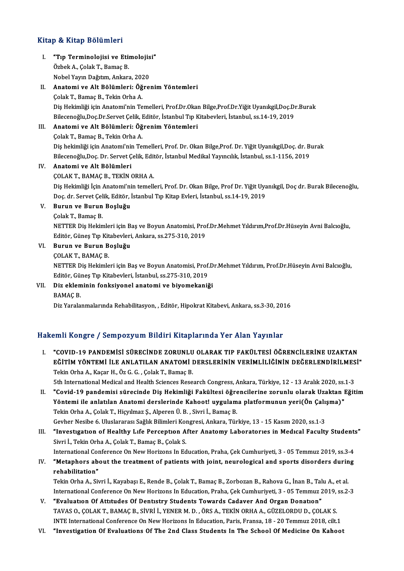## Kitap & Kitap Bölümleri

- I. "Tıp Terminolojisi ve Etimolojisi" e de kralje Bordmore<br>"Tip Terminolojisi ve Etii<br>Özbek A., Çolak T., Bamaç B.<br>Nobel Yayın Dağıtım Ankarı **"Tıp Terminolojisi ve Etimolojis**<br>Özbek A., Çolak T., Bamaç B.<br>Nobel Yayın Dağıtım, Ankara, 2020<br>Anatami ve Alt Bölümleri: Öğre
- Özbek A., Çolak T., Bamaç B.<br>Nobel Yayın Dağıtım, Ankara, 2020<br>II. **Anatomi ve Alt Bölümleri: Öğrenim Yöntemleri**<br>Çolak T., Bamaç B., Tekin Orha A. Nobel Yayın Dağıtım, Ankara, 202<br>**Anatomi ve Alt Bölümleri: Öğ**<br>Çolak T., Bamaç B., Tekin Orha A.<br>Dis Holimliği isin Anatomi'nin To Anatomi ve Alt Bölümleri: Öğrenim Yöntemleri<br>Çolak T., Bamaç B., Tekin Orha A.<br>Diş Hekimliği için Anatomi'nin Temelleri, Prof.Dr.Okan Bilge,Prof.Dr.Yiğit Uyanıkgil,Doç.Dr.Burak<br>Bilgeeneğlu Des Dr Servet Celik, Editön İstan Çolak T., Bamaç B., Tekin Orha A.<br>Diş Hekimliği için Anatomi'nin Temelleri, Prof.Dr.Okan Bilge,Prof.Dr.Yiğit Uyanıkgil,Doç.Dı<br>Bilecenoğlu,Doç.Dr.Servet Çelik, Editör, İstanbul Tıp Kitabevleri, İstanbul, ss.14-19, 2019<br>Anat Bilecenoğlu, Doç. Dr. Servet Çelik, Editör, İstanbul Tıp Kitabevleri, İstanbul, ss. 14-19, 2019<br>III. Anatomi ve Alt Bölümleri: Öğrenim Yöntemleri

Çolak T., Bamaç B., Tekin Orha A. Anatomi ve Alt Bölümleri: Öğrenim Yöntemleri<br>Çolak T., Bamaç B., Tekin Orha A.<br>Diş hekimliği için Anatomi'nin Temelleri, Prof. Dr. Okan Bilge,Prof. Dr. Yiğit Uyanıkgil,Doç. dr. Burak<br>Bilosonoğlu Doş. Dr. Servet Çolik, Edit Çolak T., Bamaç B., Tekin Orha A.<br>Diş hekimliği için Anatomi'nin Temelleri, Prof. Dr. Okan Bilge,Prof. Dr. Yiğit Uyanıkgil,Doç. dr. B<br>Bilecenoğlu,Doç. Dr. Servet Çelik, Editör, İstanbul Medikal Yayıncılık, İstanbul, ss.1-1 Bilecenoğlu, Doç. Dr. Servet Çelik, Editör, İstanbul Medikal Yayıncılık, İstanbul, ss.1-1156, 2019

# IV. Anatomi ve Alt Bölümleri

Diş Hekimliği İçin Anatomi'nin temelleri, Prof. Dr. Okan Bilge, Prof Dr. Yiğit Uyanıkgil, Doç dr. Burak Bilecenoğlu, ÇOLAK T., BAMAÇ B., TEKİN ORHA A.<br>Diş Hekimliği İçin Anatomi'nin temelleri, Prof. Dr. Okan Bilge, Prof Dr. Yiğit Uya<br>Doç. dr. Servet Çelik, Editör, İstanbul Tıp Kitap Evleri, İstanbul, ss.14-19, 2019<br>Bunun ve Bunun Bosluğu Doç. dr. Servet Çel<br><mark>Burun ve Burun</mark><br>Çolak T., Bamaç B.<br>NETTER Dis Holtin

# V. Burun ve Burun Boşluğu

Burun ve Burun Boşluğu<br>Çolak T., Bamaç B.<br>NETTER Diş Hekimleri için Baş ve Boyun Anatomisi, Prof.Dr.Mehmet Yıldırım,Prof.Dr.Hüseyin Avni Balcıoğlu,<br>Editör Günes Tıp Kitabeyleri, Ankara, se 275-210-2019. Çolak T., Bamaç B.<br>NETTER Diş Hekimleri için Baş ve Boyun Anatomisi, Pro:<br>Editör, Güneş Tıp Kitabevleri, Ankara, ss.275-310, 2019<br>Bunun ve Bunun Bosluğu Editör, Güneş Tıp Kitabevleri, Ankara, ss.275-310, 2019<br>VI. Burun ve Burun Boşluğu

ÇOLAKT.,BAMAÇB.

Buru<mark>n ve Burun Boşluğu</mark><br>ÇOLAK T., BAMAÇ B.<br>NETTER Diş Hekimleri için Baş ve Boyun Anatomisi, Prof.Dr.Mehmet Yıldırım, Prof.Dr.Hüseyin Avni Balcıoğlu,<br>Editën Günes Tıp Kitabeyleri, İstanbul 88.275.210.2019 ÇOLAK T., BAMAÇ B.<br>NETTER Diş Hekimleri için Baş ve Boyun Anatomisi, Prof.<br>Editör, Güneş Tıp Kitabevleri, İstanbul, ss.275-310, 2019<br>Diz ekleminin fonksiyenel anatomi ve biyemekani? NETTER Diş Hekimleri için Baş ve Boyun Anatomisi, Prof.D<br>Editör, Güneş Tıp Kitabevleri, İstanbul, ss.275-310, 2019<br>VII. Diz ekleminin fonksiyonel anatomi ve biyomekaniği<br>PAMAC P

# Editör, Gül<br>Diz eklem<br>BAMAÇ B.<br>Diz Yorala

BAMAÇ B.<br>Diz Yaralanmalarında Rehabilitasyon, , Editör, Hipokrat Kitabevi, Ankara, ss.3-30, 2016

# Hakemli Kongre / Sempozyum Bildiri Kitaplarında Yer Alan Yayınlar

I. "COVID-19 PANDEMİSİ SÜRECİNDE ZORUNLU OLARAK TIP FAKÜLTESİ ÖĞRENCİLERİNE UZAKTAN EMIT IRENGEZ 7 DEMIPOLYUM DIRIMI INCEPRITIRIN TOTTIRIH TUJTIRIH.<br>"COVID-19 PANDEMİSİ SÜRECİNDE ZORUNLU OLARAK TIP FAKÜLTESİ ÖĞRENCİLERİNE UZAKTAN<br>EĞİTİM YÖNTEMİ İLE ANLATILAN ANATOMİ DERSLERİNİN VERİMLİLİĞİNİN DEĞERLENDİRİ "COVID-19 PANDEMISI SÜRECINDE ZORUNLU<br>EĞİTİM YÖNTEMI İLE ANLATILAN ANATOMI I<br>Tekin Orha A., Kaçar H., Öz G. G. , Çolak T., Bamaç B.<br>Eth International Medical and Health Sciences Bese EĞİTİM YÖNTEMİ İLE ANLATILAN ANATOMİ DERSLERİNİN VERİMLİLİĞİNİN DEĞERLENDİRİLMES<br>Tekin Orha A., Kaçar H., Öz G. G. , Çolak T., Bamaç B.<br>5th International Medical and Health Sciences Research Congress, Ankara, Türkiye, 12 -

Tekin Orha A., Kaçar H., Öz G. G. , Çolak T., Bamaç B.<br>5th International Medical and Health Sciences Research Congress, Ankara, Türkiye, 12 - 13 Aralık 2020, ss.1-3<br>11. "Covid-19 pandemisi sürecinde Diş Hekimliği Fakül 5th International Medical and Health Sciences Research Congress, Ankara, Türkiye, 12 - 13 Aralık 2020, ss.<br>"Covid-19 pandemisi sürecinde Diş Hekimliği Fakültesi öğrencilerine zorunlu olarak Uzaktan I<br>Yöntemi ile anlatılan II. "Covid-19 pandemisi sürecinde Diş Hekimliği Fakültesi öğrencilerine zorunlu olarak Uzaktan Eğitim<br>Yöntemi ile anlatılan Anatomi derslerinde Kahoot! uygulama platformunun yeri(Ön Çalışma)"<br>Tekin Orha A., Çolak T., Hiçyı Yöntemi ile anlatılan Anatomi derslerinde Kahoot! uygulama platformunun yeri(Ön Çalışma)"

III. "Investigation of Healthy Life Perception After Anatomy Laboratories in Medical Faculty Students" Sivri İ., Tekin Orha A., Çolak T., Bamaç B., Çolak S. "Investigation of Healthy Life Perception After Anatomy Laboratories in Medical Faculty Student:<br>Sivri İ., Tekin Orha A., Çolak T., Bamaç B., Çolak S.<br>International Conference On New Horizons In Education, Praha, Çek Cumhu

Sivri İ., Tekin Orha A., Çolak T., Bamaç B., Çolak S.<br>International Conference On New Horizons In Education, Praha, Çek Cumhuriyeti, 3 - 05 Temmuz 2019, ss.3-4<br>IV. "Metaphors about the treatment of patients with joint, neu International Cor<br>**"Metaphors ab<br>rehabilitation"**<br>Tekin Orba A. Sir "Metaphors about the treatment of patients with joint, neurological and sports disorders durin<br>rehabilitation"<br>Tekin Orha A., Sivri İ., Kayabaşı E., Rende B., Çolak T., Bamaç B., Zorbozan B., Rahova G., İnan B., Talu A., e rehabilitation"<br>Tekin Orha A., Sivri İ., Kayabaşı E., Rende B., Çolak T., Bamaç B., Zorbozan B., Rahova G., İnan B., Talu A., et al.<br>International Conference On New Horizons In Education, Praha, Çek Cumhuriyeti, 3 - 05 Tem

- Tekin Orha A., Sivri İ., Kayabaşı E., Rende B., Çolak T., Bamaç B., Zorbozan B., Rahova G., İnan B., Tal<br>International Conference On New Horizons In Education, Praha, Çek Cumhuriyeti, 3 05 Temmuz 2<br>V. "Evaluation Of Atti International Conference On New Horizons In Education, Praha, Çek Cumhuriyeti, 3 - 05 Temmuz 2019,<br>**"Evaluation Of Attitudes Of Dentistry Students Towards Cadaver And Organ Donation"**<br>TAVAS O., ÇOLAK T., BAMAÇ B., SİVRİ İ. "Evaluation Of Attitudes Of Dentistry Students Towards Cadaver And Organ Donation"<br>TAVAS O., ÇOLAK T., BAMAÇ B., SİVRİ İ., YENER M. D. , ÖRS A., TEKİN ORHA A., GÜZELORDU D., ÇOLAK S.<br>INTE International Conference On New Ho TAVAS O., ÇOLAK T., BAMAÇ B., SİVRİ İ., YENER M. D. , ÖRS A., TEKİN ORHA A., GÜZELORDU D., ÇOLAK S.<br>INTE International Conference On New Horizons In Education, Paris, Fransa, 18 - 20 Temmuz 2018, cilt.1<br>VI. "Investigation
-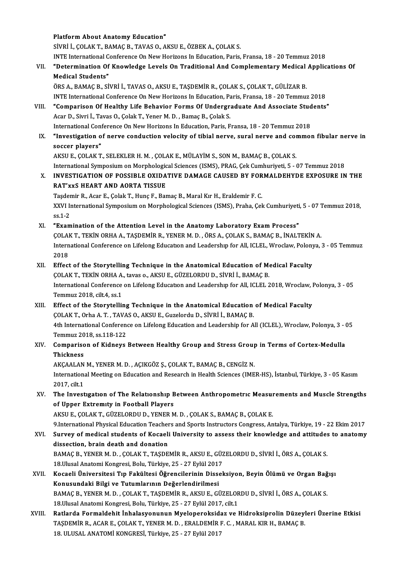Platform About Anatomy Education" SİVRİ İ.,ÇOLAKT.,BAMAÇB.,TAVASO.,AKSUE.,ÖZBEKA.,ÇOLAKS. INTE International Conference On New Horizons In Education, Paris, Fransa, 18 - 20 Temmuz 2018 SİVRİ İ., ÇOLAK T., BAMAÇ B., TAVAS O., AKSU E., ÖZBEK A., ÇOLAK S.<br>INTE International Conference On New Horizons In Education, Paris, Fransa, 18 - 20 Temmuz 2018<br>VII. "Determination Of Knowledge Levels On Traditional And **INTE International C**<br>"Determination Of<br>Medical Students"<br>ÖPS A. PAMAC P. ST "Determination Of Knowledge Levels On Traditional And Complementary Medical<br>Medical Students"<br>ÖRS A., BAMAÇ B., SİVRİ İ., TAVAS O., AKSU E., TAŞDEMİR R., ÇOLAK S., ÇOLAK T., GÜLİZAR B.<br>INTE International Conference On New Medical Students"<br>ÖRS A., BAMAÇ B., SİVRİ İ., TAVAS O., AKSU E., TAŞDEMİR R., ÇOLAK S., ÇOLAK T., GÜLİZAR B.<br>INTE International Conference On New Horizons In Education, Paris, Fransa, 18 - 20 Temmuz 2018<br>"Comparison Of Hoa ORS A., BAMAÇ B., SİVRİ İ., TAVAS O., AKSU E., TAŞDEMİR R., ÇOLAK S., ÇOLAK T., GÜLİZAR B.<br>INTE International Conference On New Horizons In Education, Paris, Fransa, 18 - 20 Temmuz 2018<br>VIII. "Comparison Of Healthy Life Be INTE International Conference On New Horizons In Education, Paris, Fransa, 18 - 20 Temmuz 2018<br>"Comparison Of Healthy Life Behavior Forms Of Undergraduate And Associate Students"<br>Acar D., Sivri İ., Tavas O., Çolak T., Yene International Conference On New Horizons In Education, Paris, Fransa, 18 - 20 Temmuz 2018 Acar D., Sivri İ., Tavas O., Çolak T., Yener M. D. , Bamaç B., Çolak S.<br>International Conference On New Horizons In Education, Paris, Fransa, 18 - 20 Temmuz 2018<br>IX. "Investigation of nerve conduction velocity of tibial ne International Cons<br>"Investigation of<br>soccer players"<br>AVSUE COLAVT "Investigation of nerve conduction velocity of tibial nerve, sural nerve and consocer players"<br>soccer players"<br>AKSU E., ÇOLAK T., SELEKLER H. M. , ÇOLAK E., MÜLAYİM S., SON M., BAMAÇ B., ÇOLAK S.<br>International Sumnosium en Soccer players"<br>AKSU E., ÇOLAK T., SELEKLER H. M. , ÇOLAK E., MÜLAYİM S., SON M., BAMAÇ B., ÇOLAK S.<br>International Symposium on Morphological Sciences (ISMS), PRAG, Çek Cumhuriyeti, 5 - 07 Temmuz 2018<br>INVESTIC ATION OE POS AKSU E., ÇOLAK T., SELEKLER H. M. , ÇOLAK E., MÜLAYİM S., SON M., BAMAÇ B., ÇOLAK S.<br>International Symposium on Morphological Sciences (ISMS), PRAG, Çek Cumhuriyeti, 5 - 07 Temmuz 2018<br>X. INVESTIGATION OF POSSIBLE OXIDATIV International Symposium on Morphologic<br>INVESTIGATION OF POSSIBLE OXIDA<br>RAT'xxS HEART AND AORTA TISSUE<br>Tecdemin B. Acer E. Colak T. Hung E. Ber INVESTIGATION OF POSSIBLE OXIDATIVE DAMAGE CAUSED BY FOR<br>RAT'xxS HEART AND AORTA TISSUE<br>Taşdemir R., Acar E., Çolak T., Hunç F., Bamaç B., Maral Kır H., Eraldemir F. C.<br>YYU International Symposium on Morphologiaal Sciences RAT'xxS HEART AND AORTA TISSUE<br>Taşdemir R., Acar E., Çolak T., Hunç F., Bamaç B., Maral Kır H., Eraldemir F. C.<br>XXVI International Symposium on Morphological Sciences (ISMS), Praha, Çek Cumhuriyeti, 5 - 07 Temmuz 2018,<br>ss. Taşdemir R., Acar E., Çolak T., Hunç F., Bamaç B., Maral Kır H., Eraldemir F. C. XI. "Examination of the Attention Level in the Anatomy Laboratory ExamProcess" ss.1-2<br>"Examination of the Attention Level in the Anatomy Laboratory Exam Process"<br>ÇOLAK T., TEKİN ORHA A., TAŞDEMİR R., YENER M. D. , ÖRS A., ÇOLAK S., BAMAÇ B., İNALTEKİN A.<br>International Conference en Lifelong Education International Conference on Lifelong Education and Leadership for All, ICLEL, Wroclaw, Polonya, 3 - 05 Temmuz<br>2018 COLAI<br>Intern<br>2018<br>Effect XII. Effect of the Storytelling Technique in the Anatomical Education of Medical Faculty 2018<br>Effect of the Storytelling Technique in the Anatomical Education of Me<br>ÇOLAK T., TEKİN ORHA A., tavas o., AKSU E., GÜZELORDU D., SİVRİ İ., BAMAÇ B.<br>International Conference en Lifeleng Education and Leadershin for All International Conference on Lifelong Education and Leadership for All, ICLEL 2018, Wroclaw, Polonya, 3 - 05<br>Temmuz 2018. cilt.4. ss.1 COLAK T., TEKİN ORHA A.<br>International Conference<br>Temmuz 2018, cilt.4, ss.1<br>Effect of the Sterutelli: XIII. Effect of the Storytelling Technique in the Anatomical Education of Medical Faculty Temmuz 2018, cilt.4, ss.1<br>Effect of the Storytelling Technique in the Anatomical Education<br>ÇOLAK T., Orha A. T. , TAVAS O., AKSU E., Guzelordu D., SİVRİ İ., BAMAÇ B.<br>4th International Conference on Lifelang Education and L 4th International Conference on Lifelong Education and Leadership for All (ICLEL), Wroclaw, Polonya, 3 - 05<br>Temmuz 2018, ss.118-122 COLAK T., Orha A. T. , TAVA<br>4th International Conference<br>Temmuz 2018, ss.118-122<br>Companieon of Vidnove 4th International Conference on Lifelong Education and Leadership for All (ICLEL), Wroclaw, Polonya, 3 - (<br>Temmuz 2018, ss.118-122<br>XIV. Comparison of Kidneys Between Healthy Group and Stress Group in Terms of Cortex-Me Temmuz 20<br>Compariso<br>Thickness<br>AVCAALAN Comparison of Kidneys Between Healthy Group and Stress Group<br>Thickness<br>AKÇAALAN M., YENER M. D. , AÇIKGÖZ Ş., ÇOLAK T., BAMAÇ B., CENGİZ N.<br>International Meeting on Education and Bessarsh in Health Sciences (IME Thickness<br>AKÇAALAN M., YENER M. D. , AÇIKGÖZ Ş., ÇOLAK T., BAMAÇ B., CENGİZ N.<br>International Meeting on Education and Research in Health Sciences (IMER-HS), İstanbul, Türkiye, 3 - 05 Kasım<br>2017. cilt.1 AKÇAALAN<br>Internation<br>2017, cilt.1<br>The Invest International Meeting on Education and Research in Health Sciences (IMER-HS), İstanbul, Türkiye, 3 - 05 Kasım<br>2017, cilt.1<br>XV. The Investigation of The Relationship Between Anthropometric Measurements and Muscle Streng 2017, cilt.1<br>The Investigation of The Relationship B<br>of Upper Extremity in Football Players<br>AKSUE COLAKT CÜZELOPDUD, VENEP M The Investigation of The Relationship Between Anthropometric Measur<br>of Upper Extremity in Football Players<br>AKSU E., ÇOLAK T., GÜZELORDU D., YENER M. D. , ÇOLAK S., BAMAÇ B., ÇOLAK E.<br>9 International Physical Education Teac of Upper Extremity in Football Players<br>AKSU E., ÇOLAK T., GÜZELORDU D., YENER M. D. , ÇOLAK S., BAMAÇ B., ÇOLAK E.<br>9.International Physical Education Teachers and Sports Instructors Congress, Antalya, Türkiye, 19 - 22 Ekim AKSU E., ÇOLAK T., GÜZELORDU D., YENER M. D. , ÇOLAK S., BAMAÇ B., ÇOLAK E.<br>9.International Physical Education Teachers and Sports Instructors Congress, Antalya, Türkiye, 19 - 22 Ekim 2017<br>XVI. Survey of medical students o 9.International Physical Education Teacher<br>Survey of medical students of Kocaeli<br>dissection, brain death and donation<br>BAMAC B. VENER M. D., COLAK T. TASDE Survey of medical students of Kocaeli University to assess their knowledge and attitudes<br>dissection, brain death and donation<br>BAMAÇ B., YENER M. D. , ÇOLAK T., TAŞDEMİR R., AKSU E., GÜZELORDU D., SİVRİ İ., ÖRS A., ÇOLAK S. dissection, brain death and donation<br>BAMAC B., YENER M. D., COLAK T., TASDEMİR R., AKSU E., GÜZELORDU D., SİVRİ İ., ÖRS A., COLAK S. XVII. Kocaeli Üniversitesi Tıp Fakültesi Öğrencilerinin Disseksiyon, Beyin Ölümü ve Organ Bağışı<br>Konusundaki Bilgi ve Tutumlarının Değerlendirilmesi 18 Ulusal Anatomi Kongresi, Bolu, Türkiye, 25 - 27 Eylül 2017 Kocaeli Üniversitesi Tıp Fakültesi Öğrencilerinin Disseksiyon, Beyin Ölümü ve Organ Bağ<br>Konusundaki Bilgi ve Tutumlarının Değerlendirilmesi<br>BAMAÇ B., YENER M. D. , ÇOLAK T., TAŞDEMİR R., AKSU E., GÜZELORDU D., SİVRİ İ., ÖR 18.Ulusal Anatomi Kongresi, Bolu, Türkiye, 25 - 27 Eylül 2017, cilt.1<br>Ratlarda Formaldehit İnhalasyonunun Myeloperoksidaz ve Hidroksiprolin Düzeyleri Üzerine Etkisi BAMAÇ B., YENER M. D. , ÇOLAK T., TAŞDEMİR R., AKSU E., GÜZELORDU D., SİVRİ İ., ÖRS A., ÇOLAK S.<br>18.Ulusal Anatomi Kongresi, Bolu, Türkiye, 25 - 27 Eylül 2017, cilt.1<br>XVIII. Ratlarda Formaldehit İnhalasyonunun Myeloper 18.Ulusal Anatomi Kongresi, Bolu, Türkiye, 25 - 27 Eylül 2017, cilt.1<br>Ratlarda Formaldehit İnhalasyonunun Myeloperoksidaz ve Hidroksiprolin Düzeyl<br>TAŞDEMİR R., ACAR E., ÇOLAK T., YENER M. D. , ERALDEMİR F. C. , MARAL KIR H Ratlarda Formaldehit İnhalasyonunun Myeloperoksid:<br>TAŞDEMİR R., ACAR E., ÇOLAK T., YENER M. D. , ERALDEMİR I<br>18. ULUSAL ANATOMİ KONGRESİ, Türkiye, 25 - 27 Eylül 2017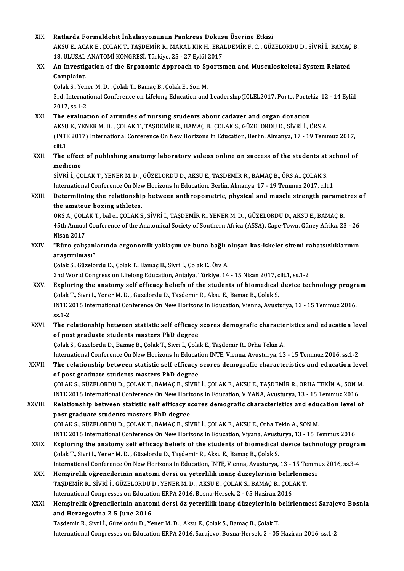XIX.<br>XIX. Ratlarda Formaldehit İnhalasyonunun Pankreas Dokusu Üzerine Etkisi<br>AKSUE ACARE COLAKT TASDEMİR B MARAL KIRH ERALDEMİRE G. GÜZ Ratlarda Formaldehit İnhalasyonunun Pankreas Dokusu Üzerine Etkisi<br>AKSU E., ACAR E., ÇOLAK T., TAŞDEMİR R., MARAL KIR H., ERALDEMİR F. C. , GÜZELORDU D., SİVRİ İ., BAMAÇ B.<br>19. HUJSAL ANATOMİ KONGRESİ Türkiye 25., 27 Erkil Ratlarda Formaldehit İnhalasyonunun Pankreas Dokus<br>AKSU E., ACAR E., ÇOLAK T., TAŞDEMİR R., MARAL KIR H., ERA<br>18. ULUSAL ANATOMİ KONGRESİ, Türkiye, 25 - 27 Eylül 2017<br>An Investisation of the Ensenemis Annreash te Spertsu AKSU E., ACAR E., ÇOLAK T., TAŞDEMİR R., MARAL KIR H., ERALDEMİR F. C. , GÜZELORDU D., SİVRİ İ., BAMAÇ<br>18. ULUSAL ANATOMI KONGRESİ, Türkiye, 25 - 27 Eylül 2017<br>XX. An Investigation of the Ergonomic Approach to Sportsme 18. ULUSAL ANATOMI KONGRESI, Türkiye, 25 - 27 Eylül 2017<br>An Investigation of the Ergonomic Approach to Sports<br>Complaint.<br>Colak S., Yener M. D., Colak T., Bamaç B., Colak E., Son M. An Investigation of the Ergonomic Approach to Sportsmen and Musculoskeletal System Related Complaint.<br>Çolak S., Yener M. D. , Çolak T., Bamaç B., Çolak E., Son M.<br>3rd. International Conference on Lifelong Education and Leadershıp(ICLEL2017, Porto, Portekiz, 12 - 14 Eylül<br>2017-SS 1-2 Colak S., Yene<br>3rd. Internat<br>2017, ss.1-2<br>The evoluat XXI. The evaluatıon of attıtudes of nursıng students about cadaver and organ donatıon 2017, ss.1-2<br>The evaluation of attitudes of nursing students about cadaver and organ donation<br>AKSU E., YENER M. D. , ÇOLAK T., TAŞDEMİR R., BAMAÇ B., ÇOLAK S., GÜZELORDU D., SİVRİ İ., ÖRS A.<br>(INTE 2017) International Confe (INTE 2017) International Conference On New Horizons In Education, Berlin, Almanya, 17 - 19 Temmuz 2017, cilt.1 AKSU<br>(INTE<br>cilt.1<br>The (INTE 2017) International Conference On New Horizons In Education, Berlin, Almanya, 17 - 19 Temmuz 2017,<br>cilt.1<br>XXII. The effect of publishing anatomy laboratory videos online on success of the students at school of cilt.1<br>The effect<br>medicine<br>siveti .cc The effect of publishing anatomy laboratory videos online on success of the students at<br>medicine<br>SİVRİ İ., ÇOLAK T., YENER M. D. , GÜZELORDU D., AKSU E., TAŞDEMİR R., BAMAÇ B., ÖRS A., ÇOLAK S.<br>International Conference On medicine<br>SİVRİ İ., ÇOLAK T., YENER M. D. , GÜZELORDU D., AKSU E., TAŞDEMİR R., BAMAÇ B., ÖRS A., ÇOLAK S.<br>International Conference On New Horizons In Education, Berlin, Almanya, 17 - 19 Temmuz 2017, cilt.1<br>Determlining the SİVRİ İ., ÇOLAK T., YENER M. D. , GÜZELORDU D., AKSU E., TAŞDEMİR R., BAMAÇ B., ÖRS A., ÇOLAK S.<br>International Conference On New Horizons In Education, Berlin, Almanya, 17 - 19 Temmuz 2017, cilt.1<br>XXIII. DetermIining t International Conference On Nev<br>Determlining the relationship<br>the amateur boxing athletes. Determlining the relationship between anthropometric, physical and muscle strength paramet<br>the amateur boxing athletes.<br>ÖRS A., ÇOLAK T., bal e., ÇOLAK S., SİVRİ İ., TAŞDEMİR R., YENER M. D. , GÜZELORDU D., AKSU E., BAMAÇ the amateur boxing athletes.<br>ÖRS A., ÇOLAK T., bal e., ÇOLAK S., SİVRİ İ., TAŞDEMİR R., YENER M. D. , GÜZELORDU D., AKSU E., BAMAÇ B.<br>45th Annual Conference of the Anatomical Society of Southern Africa (ASSA), Cape-Town, G ÖRS A., ÇOLAK T., bal e., ÇOLAK S., SİVRİ İ., TAŞDEMİR R., YENER M. D. , GÜZELORDU D., AKSU E., BAMAÇ B.<br>45th Annual Conference of the Anatomical Society of Southern Africa (ASSA), Cape-Town, Güney Afrika, 23<br>Nisan 2017 45th Annual Conference of the Anatomical Society of Southern Africa (ASSA), Cape-Town, Güney Afrika, 23 - 26<br>Nisan 2017<br>XXIV. "Büro çalışanlarında ergonomik yaklaşım ve buna bağlı oluşan kas-iskelet sitemi rahatsızlıkların "Büro çalışanlarında ergonomik yaklaşım ve buna bağlı oluşan kas-iskelet sitemi rahatsızlıklarının<br>araştırılması" ÇolakS.,GüzelorduD.,ÇolakT.,BamaçB.,Sivri İ.,ÇolakE.,ÖrsA. araştırılması"<br>Çolak S., Güzelordu D., Çolak T., Bamaç B., Sivri İ., Çolak E., Örs A.<br>2nd World Congress on Lifelong Education, Antalya, Türkiye, 14 - 15 Nisan 2017, cilt.1, ss.1-2<br>Evnloring the anatomy self efficeay helye Colak S., Güzelordu D., Colak T., Bamaç B., Sivri İ., Colak E., Örs A.<br>2nd World Congress on Lifelong Education, Antalya, Türkiye, 14 - 15 Nisan 2017, cilt.1, ss.1-2<br>XXV. Exploring the anatomy self efficacy beliefs of the 2nd World Congress on Lifelong Education, Antalya, Türkiye, 14 - 15 Nisan 2017, c<br>Exploring the anatomy self efficacy beliefs of the students of biomedical<br>Çolak T., Sivri İ., Yener M. D. , Güzelordu D., Taşdemir R., Aksu Exploring the anatomy self efficacy beliefs of the students of biomedical device technology prographic Colak T., Sivri İ., Yener M. D. , Güzelordu D., Taşdemir R., Aksu E., Bamaç B., Çolak S.<br>INTE 2016 International Confer Çolak T., Sivri İ., Yener M. D. , Güzelordu D., Taşdemir R., Aksu E., Bamaç B., Çolak S.<br>INTE 2016 International Conference On New Horizons In Education, Vienna, Avusturya, 13 - 15 Temmuz 2016,<br>ss.1-2 INTE 2016 International Conference On New Horizons In Education, Vienna, Avusturya, 13 - 15 Temmuz 2016,<br>ss.1-2<br>XXVI. The relationship between statistic self efficacy scores demografic characteristics and education level<br>o ss.1-2<br>The relationship between statistic self efficacy<br>of post graduate students masters PhD degree<br>Selak S. Sürelardu D. Bamae B. Selak T. Simi L. Sela of post graduate students masters PhD degree<br>Çolak S., Güzelordu D., Bamaç B., Çolak T., Sivri İ., Çolak E., Taşdemir R., Orha Tekin A. of post graduate students masters PhD degree<br>Çolak S., Güzelordu D., Bamaç B., Çolak T., Sivri İ., Çolak E., Taşdemir R., Orha Tekin A.<br>International Conference On New Horizons In Education INTE, Vienna, Avusturya, 13 - 15 Colak S., Güzelordu D., Bamaç B., Çolak T., Sivri İ., Çolak E., Taşdemir R., Orha Tekin A.<br>International Conference On New Horizons In Education INTE, Vienna, Avusturya, 13 - 15 Temmuz 2016, ss.1-2<br>XXVII. The relationship International Conference On New Horizons In Educat<br>The relationship between statistic self efficacy<br>of post graduate students masters PhD degree<br>COLAKS CÜZELOPDUD, COLAKT, PAMAC P. SİVPİ The relationship between statistic self efficacy scores demografic characteristics and education level<br>of post graduate students masters PhD degree<br>COLAK S., GÜZELORDU D., ÇOLAK T., BAMAÇ B., SİVRİ İ., ÇOLAK E., AKSU E., T COLAK S., GÜZELORDU D., COLAK T., BAMAC B., SİVRİ İ., COLAK E., AKSU E., TAŞDEMİR R., ORHA TEKİN A., SON M. COLAK S., GÜZELORDU D., COLAK T., BAMAC B., SİVRİ İ., COLAK E., AKSU E., TAŞDEMİR R., ORHA TEKİN A., SON M.<br>INTE 2016 International Conference On New Horizons In Education, VİYANA, Avusturya, 13 - 15 Temmuz 2016<br>XXVIII. Re INTE 2016 International Conference On New Horiz<br>Relationship between statistic self efficacy s<br>post graduate students masters PhD degree<br>COLAKS CÜZELOPDUD COLAKT PAMACP SU Relationship between statistic self efficacy scores demografic characteristics and edu<br>post graduate students masters PhD degree<br>ÇOLAK S., GÜZELORDU D., ÇOLAK T., BAMAÇ B., SİVRİ İ., ÇOLAK E., AKSU E., Orha Tekin A., SON M post graduate students masters PhD degree<br>ÇOLAK S., GÜZELORDU D., ÇOLAK T., BAMAÇ B., SİVRİ İ., ÇOLAK E., AKSU E., Orha Tekin A., SON M.<br>INTE 2016 International Conference On New Horizons In Education, Viyana, Avusturya, 1 COLAK S., GÜZELORDU D., COLAK T., BAMAC B., SİVRİ İ., COLAK E., AKSU E., Orha Tekin A., SON M.<br>INTE 2016 International Conference On New Horizons In Education, Viyana, Avusturya, 13 - 15 Temmuz 2016<br>XXIX. Exploring the ana INTE 2016 International Conference On New Horizons In Education, Viyana, Avustory<br>Exploring the anatomy self efficacy beliefs of the students of biomedical<br>Colak T., Sivri İ., Yener M. D. , Güzelordu D., Taşdemir R., Aksu Exploring the anatomy self efficacy beliefs of the students of biomedical device technology prograical device<br>Colak T., Sivri İ., Yener M. D. , Güzelordu D., Taşdemir R., Aksu E., Bamaç B., Çolak S.<br>International Conferenc Colak T., Sivri İ., Yener M. D. , Güzelordu D., Taşdemir R., Aksu E., Bamaç B., Colak S.<br>International Conference On New Horizons In Education, INTE, Vienna, Avusturya, 13 - 15 Temm<br>XXX. Hemşirelik öğrencilerinin anatomi d International Conference On New Horizons In Education, INTE, Vienna, Avusturya, 13 - 15 Temmuz 2016, ss.3-4<br>Hemşirelik öğrencilerinin anatomi dersi öz yeterlilik inanç düzeylerinin belirlenmesi<br>TAŞDEMİR R., SİVRİ İ., GÜZEL Hemşirelik öğrencilerinin anatomi dersi öz yeterlilik inanç düzeylerinin beliri<br>TAŞDEMİR R., SİVRİ İ., GÜZELORDU D., YENER M. D. , AKSU E., ÇOLAK S., BAMAÇ B., ÇOL.<br>International Congresses on Education ERPA 2016, Bosna-He TAŞDEMİR R., SİVRİ İ., GÜZELORDU D., YENER M. D. , AKSU E., ÇOLAK S., BAMAÇ B., ÇOLAK T.<br>International Congresses on Education ERPA 2016, Bosna-Hersek, 2 - 05 Haziran 2016<br>XXXI. Hemşirelik öğrencilerinin anatomi dersi International Congresses on Educati<br>Hemşirelik öğrencilerinin anatol<br>and Herzegovina 2 5 June 2016<br>Teademin P. Sivni L. Güzelendu D. Ve and Herzegovina 2 5 June 2016<br>Taşdemir R., Sivri İ., Güzelordu D., Yener M. D. , Aksu E., Çolak S., Bamaç B., Çolak T. International Congresses on Education ERPA 2016, Sarajevo, Bosna-Hersek, 2 - 05 Haziran 2016, ss.1-2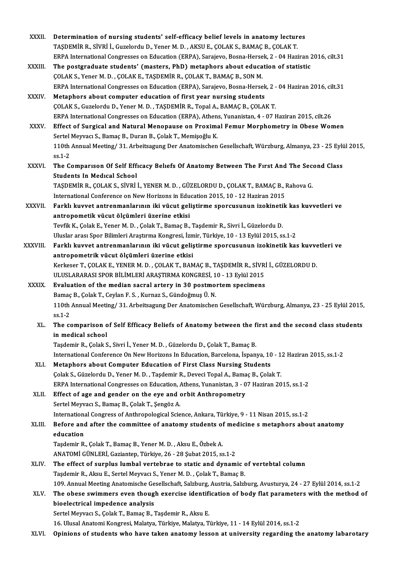| Determination of nursing students' self-efficacy belief levels in anatomy lectures<br>XXXII.<br>TAŞDEMİR R., SİVRİ İ., Guzelordu D., Yener M. D. , AKSU E., ÇOLAK S., BAMAÇ B., ÇOLAK T.<br>ERPA International Congresses on Education (ERPA), Sarajevo, Bosna-Hersek, 2 - 04 Haziran 2016, cilt.31<br>The postgraduate students' (masters, PhD) metaphors about education of statistic<br>XXXIII.<br>ÇOLAK S., Yener M. D., ÇOLAK E., TAŞDEMİR R., ÇOLAK T., BAMAÇ B., SON M.<br>ERPA International Congresses on Education (ERPA), Sarajevo, Bosna-Hersek, 2 - 04 Haziran 2016, cilt.31<br>Metaphors about computer education of first year nursing students<br>XXXIV.<br>ÇOLAK S., Guzelordu D., Yener M. D., TAŞDEMİR R., Topal A., BAMAÇ B., ÇOLAK T.<br>ERPA International Congresses on Education (ERPA), Athens, Yunanistan, 4 - 07 Haziran 2015, cilt.26<br>Effect of Surgical and Natural Menopause on Proximal Femur Morphometry in Obese Women<br>XXXV.<br>Sertel Meyvacı S., Bamaç B., Duran B., Çolak T., Memişoğlu K.<br>110th Annual Meeting/ 31. Arbeitsagung Der Anatomischen Gesellschaft, Würzburg, Almanya, 23 - 25 Eylül 2015,<br>ss 1 2<br><b>XXXVI</b><br>The Comparison Of Self Efficacy Beliefs Of Anatomy Between The First And The Second Class<br><b>Students In Medical School</b><br>TAȘDEMIR R., ÇOLAK S., SIVRI I., YENER M. D., GÜZELORDU D., ÇOLAK T., BAMAÇ B., Rahova G.<br>International Conference on New Horizons in Education 2015, 10 - 12 Haziran 2015<br>Farklı kuvvet antrenmanlarının iki vücut geliştirme sporcusunun izokinetik kas kuvvetleri ve<br>antropometik vücut ölçümleri üzerine etkisi<br>Tevfik K., Çolak E., Yener M. D., Çolak T., Bamaç B., Taşdemir R., Sivri İ., Güzelordu D.<br>Uluslar arası Spor Bilimleri Araştırma Kongresi, İzmir, Türkiye, 10 - 13 Eylül 2015, ss.1-2<br>Farklı kuvvet antrenmanlarının iki vücut geliştirme sporcusunun izokinetik kas kuvvetleri ve<br>antropometrik vücut ölçümleri üzerine etkisi<br>Kerkeser T., ÇOLAK E., YENER M. D., ÇOLAK T., BAMAÇ B., TAŞDEMİR R., SİVRİ İ., GÜZELORDU D.<br>ULUSLARARASI SPOR BİLİMLERİ ARAŞTIRMA KONGRESİ, 10 - 13 Eylül 2015<br>Evaluation of the median sacral artery in 30 postmortem specimens<br><b>XXXIX</b><br>Bamaç B., Çolak T., Ceylan F. S., Kurnaz S., Gündoğmuş Ü. N.<br>110th Annual Meeting/ 31. Arbeitsagung Der Anatomischen Gesellschaft, Würzburg, Almanya, 23 - 25 Eylül 2015,<br>$ss1 - 2$<br>The comparison of Self Efficacy Beliefs of Anatomy between the first and the second class students<br>XL.<br>in medical school<br>Taşdemir R., Çolak S., Sivri İ., Yener M. D., Güzelordu D., Çolak T., Bamaç B.<br>International Conference On New Horizons In Education, Barcelona, İspanya, 10 - 12 Haziran 2015, ss.1-2<br>Metaphors about Computer Education of First Class Nursing Students<br>XLI.<br>Çolak S., Güzelordu D., Yener M. D., Taşdemir R., Deveci Topal A., Bamaç B., Çolak T.<br>ERPA International Congresses on Education, Athens, Yunanistan, 3 - 07 Haziran 2015, ss.1-2<br>Effect of age and gender on the eye and orbit Anthropometry<br>XLII.<br>Sertel Meyvacı S., Bamaç B., Çolak T., Şengöz A.<br>International Congress of Anthropological Science, Ankara, Türkiye, 9 - 11 Nisan 2015, ss.1-2<br>Before and after the committee of anatomy students of medicine s metaphors about anatomy<br>XLIII.<br>education<br>Taşdemir R., Çolak T., Bamaç B., Yener M.D., Aksu E., Özbek A.<br>ANATOMİ GÜNLERİ, Gaziantep, Türkiye, 26 - 28 Şubat 2015, ss 1-2<br>The effect of surplus lumbal vertebrae to static and dynamic of vertebtal column<br>XLIV.<br>Taşdemir R., Aksu E., Sertel Meyvacı S., Yener M. D., Çolak T., Bamaç B.<br>109. Annual Meeting Anatomische Gesellschaft, Salzburg, Austria, Salzburg, Avusturya, 24 - 27 Eylül 2014, ss.1-2<br>The obese swimmers even though exercise identification of body flat parameters with the method of<br>XLV.<br>bioelectrical impedence analysis<br>Sertel Meyvacı S., Çolak T., Bamaç B., Taşdemir R., Aksu E.<br>16. Ulusal Anatomi Kongresi, Malatya, Türkiye, Malatya, Türkiye, 11 - 14 Eylül 2014, ss.1-2<br>Opinions of students who have taken anatomy lesson at university regarding the anatomy labarotary<br>XLVI. |          |  |
|-------------------------------------------------------------------------------------------------------------------------------------------------------------------------------------------------------------------------------------------------------------------------------------------------------------------------------------------------------------------------------------------------------------------------------------------------------------------------------------------------------------------------------------------------------------------------------------------------------------------------------------------------------------------------------------------------------------------------------------------------------------------------------------------------------------------------------------------------------------------------------------------------------------------------------------------------------------------------------------------------------------------------------------------------------------------------------------------------------------------------------------------------------------------------------------------------------------------------------------------------------------------------------------------------------------------------------------------------------------------------------------------------------------------------------------------------------------------------------------------------------------------------------------------------------------------------------------------------------------------------------------------------------------------------------------------------------------------------------------------------------------------------------------------------------------------------------------------------------------------------------------------------------------------------------------------------------------------------------------------------------------------------------------------------------------------------------------------------------------------------------------------------------------------------------------------------------------------------------------------------------------------------------------------------------------------------------------------------------------------------------------------------------------------------------------------------------------------------------------------------------------------------------------------------------------------------------------------------------------------------------------------------------------------------------------------------------------------------------------------------------------------------------------------------------------------------------------------------------------------------------------------------------------------------------------------------------------------------------------------------------------------------------------------------------------------------------------------------------------------------------------------------------------------------------------------------------------------------------------------------------------------------------------------------------------------------------------------------------------------------------------------------------------------------------------------------------------------------------------------------------------------------------------------------------------------------------------------------------------------------------------------------------------------------------------------------------------------------------------------------------------------------------------------------------------------------------------------------------------------------------------------------------------------------------------------------------------------------------------------------------------------------------------------------------------------------------------------------------------------------------------------------------------------------------------------------------------------------------------------------------------------------|----------|--|
|                                                                                                                                                                                                                                                                                                                                                                                                                                                                                                                                                                                                                                                                                                                                                                                                                                                                                                                                                                                                                                                                                                                                                                                                                                                                                                                                                                                                                                                                                                                                                                                                                                                                                                                                                                                                                                                                                                                                                                                                                                                                                                                                                                                                                                                                                                                                                                                                                                                                                                                                                                                                                                                                                                                                                                                                                                                                                                                                                                                                                                                                                                                                                                                                                                                                                                                                                                                                                                                                                                                                                                                                                                                                                                                                                                                                                                                                                                                                                                                                                                                                                                                                                                                                                                                                         |          |  |
|                                                                                                                                                                                                                                                                                                                                                                                                                                                                                                                                                                                                                                                                                                                                                                                                                                                                                                                                                                                                                                                                                                                                                                                                                                                                                                                                                                                                                                                                                                                                                                                                                                                                                                                                                                                                                                                                                                                                                                                                                                                                                                                                                                                                                                                                                                                                                                                                                                                                                                                                                                                                                                                                                                                                                                                                                                                                                                                                                                                                                                                                                                                                                                                                                                                                                                                                                                                                                                                                                                                                                                                                                                                                                                                                                                                                                                                                                                                                                                                                                                                                                                                                                                                                                                                                         |          |  |
|                                                                                                                                                                                                                                                                                                                                                                                                                                                                                                                                                                                                                                                                                                                                                                                                                                                                                                                                                                                                                                                                                                                                                                                                                                                                                                                                                                                                                                                                                                                                                                                                                                                                                                                                                                                                                                                                                                                                                                                                                                                                                                                                                                                                                                                                                                                                                                                                                                                                                                                                                                                                                                                                                                                                                                                                                                                                                                                                                                                                                                                                                                                                                                                                                                                                                                                                                                                                                                                                                                                                                                                                                                                                                                                                                                                                                                                                                                                                                                                                                                                                                                                                                                                                                                                                         |          |  |
|                                                                                                                                                                                                                                                                                                                                                                                                                                                                                                                                                                                                                                                                                                                                                                                                                                                                                                                                                                                                                                                                                                                                                                                                                                                                                                                                                                                                                                                                                                                                                                                                                                                                                                                                                                                                                                                                                                                                                                                                                                                                                                                                                                                                                                                                                                                                                                                                                                                                                                                                                                                                                                                                                                                                                                                                                                                                                                                                                                                                                                                                                                                                                                                                                                                                                                                                                                                                                                                                                                                                                                                                                                                                                                                                                                                                                                                                                                                                                                                                                                                                                                                                                                                                                                                                         |          |  |
|                                                                                                                                                                                                                                                                                                                                                                                                                                                                                                                                                                                                                                                                                                                                                                                                                                                                                                                                                                                                                                                                                                                                                                                                                                                                                                                                                                                                                                                                                                                                                                                                                                                                                                                                                                                                                                                                                                                                                                                                                                                                                                                                                                                                                                                                                                                                                                                                                                                                                                                                                                                                                                                                                                                                                                                                                                                                                                                                                                                                                                                                                                                                                                                                                                                                                                                                                                                                                                                                                                                                                                                                                                                                                                                                                                                                                                                                                                                                                                                                                                                                                                                                                                                                                                                                         |          |  |
|                                                                                                                                                                                                                                                                                                                                                                                                                                                                                                                                                                                                                                                                                                                                                                                                                                                                                                                                                                                                                                                                                                                                                                                                                                                                                                                                                                                                                                                                                                                                                                                                                                                                                                                                                                                                                                                                                                                                                                                                                                                                                                                                                                                                                                                                                                                                                                                                                                                                                                                                                                                                                                                                                                                                                                                                                                                                                                                                                                                                                                                                                                                                                                                                                                                                                                                                                                                                                                                                                                                                                                                                                                                                                                                                                                                                                                                                                                                                                                                                                                                                                                                                                                                                                                                                         |          |  |
|                                                                                                                                                                                                                                                                                                                                                                                                                                                                                                                                                                                                                                                                                                                                                                                                                                                                                                                                                                                                                                                                                                                                                                                                                                                                                                                                                                                                                                                                                                                                                                                                                                                                                                                                                                                                                                                                                                                                                                                                                                                                                                                                                                                                                                                                                                                                                                                                                                                                                                                                                                                                                                                                                                                                                                                                                                                                                                                                                                                                                                                                                                                                                                                                                                                                                                                                                                                                                                                                                                                                                                                                                                                                                                                                                                                                                                                                                                                                                                                                                                                                                                                                                                                                                                                                         |          |  |
|                                                                                                                                                                                                                                                                                                                                                                                                                                                                                                                                                                                                                                                                                                                                                                                                                                                                                                                                                                                                                                                                                                                                                                                                                                                                                                                                                                                                                                                                                                                                                                                                                                                                                                                                                                                                                                                                                                                                                                                                                                                                                                                                                                                                                                                                                                                                                                                                                                                                                                                                                                                                                                                                                                                                                                                                                                                                                                                                                                                                                                                                                                                                                                                                                                                                                                                                                                                                                                                                                                                                                                                                                                                                                                                                                                                                                                                                                                                                                                                                                                                                                                                                                                                                                                                                         |          |  |
|                                                                                                                                                                                                                                                                                                                                                                                                                                                                                                                                                                                                                                                                                                                                                                                                                                                                                                                                                                                                                                                                                                                                                                                                                                                                                                                                                                                                                                                                                                                                                                                                                                                                                                                                                                                                                                                                                                                                                                                                                                                                                                                                                                                                                                                                                                                                                                                                                                                                                                                                                                                                                                                                                                                                                                                                                                                                                                                                                                                                                                                                                                                                                                                                                                                                                                                                                                                                                                                                                                                                                                                                                                                                                                                                                                                                                                                                                                                                                                                                                                                                                                                                                                                                                                                                         |          |  |
|                                                                                                                                                                                                                                                                                                                                                                                                                                                                                                                                                                                                                                                                                                                                                                                                                                                                                                                                                                                                                                                                                                                                                                                                                                                                                                                                                                                                                                                                                                                                                                                                                                                                                                                                                                                                                                                                                                                                                                                                                                                                                                                                                                                                                                                                                                                                                                                                                                                                                                                                                                                                                                                                                                                                                                                                                                                                                                                                                                                                                                                                                                                                                                                                                                                                                                                                                                                                                                                                                                                                                                                                                                                                                                                                                                                                                                                                                                                                                                                                                                                                                                                                                                                                                                                                         |          |  |
|                                                                                                                                                                                                                                                                                                                                                                                                                                                                                                                                                                                                                                                                                                                                                                                                                                                                                                                                                                                                                                                                                                                                                                                                                                                                                                                                                                                                                                                                                                                                                                                                                                                                                                                                                                                                                                                                                                                                                                                                                                                                                                                                                                                                                                                                                                                                                                                                                                                                                                                                                                                                                                                                                                                                                                                                                                                                                                                                                                                                                                                                                                                                                                                                                                                                                                                                                                                                                                                                                                                                                                                                                                                                                                                                                                                                                                                                                                                                                                                                                                                                                                                                                                                                                                                                         |          |  |
|                                                                                                                                                                                                                                                                                                                                                                                                                                                                                                                                                                                                                                                                                                                                                                                                                                                                                                                                                                                                                                                                                                                                                                                                                                                                                                                                                                                                                                                                                                                                                                                                                                                                                                                                                                                                                                                                                                                                                                                                                                                                                                                                                                                                                                                                                                                                                                                                                                                                                                                                                                                                                                                                                                                                                                                                                                                                                                                                                                                                                                                                                                                                                                                                                                                                                                                                                                                                                                                                                                                                                                                                                                                                                                                                                                                                                                                                                                                                                                                                                                                                                                                                                                                                                                                                         |          |  |
|                                                                                                                                                                                                                                                                                                                                                                                                                                                                                                                                                                                                                                                                                                                                                                                                                                                                                                                                                                                                                                                                                                                                                                                                                                                                                                                                                                                                                                                                                                                                                                                                                                                                                                                                                                                                                                                                                                                                                                                                                                                                                                                                                                                                                                                                                                                                                                                                                                                                                                                                                                                                                                                                                                                                                                                                                                                                                                                                                                                                                                                                                                                                                                                                                                                                                                                                                                                                                                                                                                                                                                                                                                                                                                                                                                                                                                                                                                                                                                                                                                                                                                                                                                                                                                                                         |          |  |
|                                                                                                                                                                                                                                                                                                                                                                                                                                                                                                                                                                                                                                                                                                                                                                                                                                                                                                                                                                                                                                                                                                                                                                                                                                                                                                                                                                                                                                                                                                                                                                                                                                                                                                                                                                                                                                                                                                                                                                                                                                                                                                                                                                                                                                                                                                                                                                                                                                                                                                                                                                                                                                                                                                                                                                                                                                                                                                                                                                                                                                                                                                                                                                                                                                                                                                                                                                                                                                                                                                                                                                                                                                                                                                                                                                                                                                                                                                                                                                                                                                                                                                                                                                                                                                                                         |          |  |
|                                                                                                                                                                                                                                                                                                                                                                                                                                                                                                                                                                                                                                                                                                                                                                                                                                                                                                                                                                                                                                                                                                                                                                                                                                                                                                                                                                                                                                                                                                                                                                                                                                                                                                                                                                                                                                                                                                                                                                                                                                                                                                                                                                                                                                                                                                                                                                                                                                                                                                                                                                                                                                                                                                                                                                                                                                                                                                                                                                                                                                                                                                                                                                                                                                                                                                                                                                                                                                                                                                                                                                                                                                                                                                                                                                                                                                                                                                                                                                                                                                                                                                                                                                                                                                                                         |          |  |
|                                                                                                                                                                                                                                                                                                                                                                                                                                                                                                                                                                                                                                                                                                                                                                                                                                                                                                                                                                                                                                                                                                                                                                                                                                                                                                                                                                                                                                                                                                                                                                                                                                                                                                                                                                                                                                                                                                                                                                                                                                                                                                                                                                                                                                                                                                                                                                                                                                                                                                                                                                                                                                                                                                                                                                                                                                                                                                                                                                                                                                                                                                                                                                                                                                                                                                                                                                                                                                                                                                                                                                                                                                                                                                                                                                                                                                                                                                                                                                                                                                                                                                                                                                                                                                                                         |          |  |
|                                                                                                                                                                                                                                                                                                                                                                                                                                                                                                                                                                                                                                                                                                                                                                                                                                                                                                                                                                                                                                                                                                                                                                                                                                                                                                                                                                                                                                                                                                                                                                                                                                                                                                                                                                                                                                                                                                                                                                                                                                                                                                                                                                                                                                                                                                                                                                                                                                                                                                                                                                                                                                                                                                                                                                                                                                                                                                                                                                                                                                                                                                                                                                                                                                                                                                                                                                                                                                                                                                                                                                                                                                                                                                                                                                                                                                                                                                                                                                                                                                                                                                                                                                                                                                                                         |          |  |
|                                                                                                                                                                                                                                                                                                                                                                                                                                                                                                                                                                                                                                                                                                                                                                                                                                                                                                                                                                                                                                                                                                                                                                                                                                                                                                                                                                                                                                                                                                                                                                                                                                                                                                                                                                                                                                                                                                                                                                                                                                                                                                                                                                                                                                                                                                                                                                                                                                                                                                                                                                                                                                                                                                                                                                                                                                                                                                                                                                                                                                                                                                                                                                                                                                                                                                                                                                                                                                                                                                                                                                                                                                                                                                                                                                                                                                                                                                                                                                                                                                                                                                                                                                                                                                                                         | XXXVII.  |  |
|                                                                                                                                                                                                                                                                                                                                                                                                                                                                                                                                                                                                                                                                                                                                                                                                                                                                                                                                                                                                                                                                                                                                                                                                                                                                                                                                                                                                                                                                                                                                                                                                                                                                                                                                                                                                                                                                                                                                                                                                                                                                                                                                                                                                                                                                                                                                                                                                                                                                                                                                                                                                                                                                                                                                                                                                                                                                                                                                                                                                                                                                                                                                                                                                                                                                                                                                                                                                                                                                                                                                                                                                                                                                                                                                                                                                                                                                                                                                                                                                                                                                                                                                                                                                                                                                         |          |  |
|                                                                                                                                                                                                                                                                                                                                                                                                                                                                                                                                                                                                                                                                                                                                                                                                                                                                                                                                                                                                                                                                                                                                                                                                                                                                                                                                                                                                                                                                                                                                                                                                                                                                                                                                                                                                                                                                                                                                                                                                                                                                                                                                                                                                                                                                                                                                                                                                                                                                                                                                                                                                                                                                                                                                                                                                                                                                                                                                                                                                                                                                                                                                                                                                                                                                                                                                                                                                                                                                                                                                                                                                                                                                                                                                                                                                                                                                                                                                                                                                                                                                                                                                                                                                                                                                         |          |  |
|                                                                                                                                                                                                                                                                                                                                                                                                                                                                                                                                                                                                                                                                                                                                                                                                                                                                                                                                                                                                                                                                                                                                                                                                                                                                                                                                                                                                                                                                                                                                                                                                                                                                                                                                                                                                                                                                                                                                                                                                                                                                                                                                                                                                                                                                                                                                                                                                                                                                                                                                                                                                                                                                                                                                                                                                                                                                                                                                                                                                                                                                                                                                                                                                                                                                                                                                                                                                                                                                                                                                                                                                                                                                                                                                                                                                                                                                                                                                                                                                                                                                                                                                                                                                                                                                         |          |  |
|                                                                                                                                                                                                                                                                                                                                                                                                                                                                                                                                                                                                                                                                                                                                                                                                                                                                                                                                                                                                                                                                                                                                                                                                                                                                                                                                                                                                                                                                                                                                                                                                                                                                                                                                                                                                                                                                                                                                                                                                                                                                                                                                                                                                                                                                                                                                                                                                                                                                                                                                                                                                                                                                                                                                                                                                                                                                                                                                                                                                                                                                                                                                                                                                                                                                                                                                                                                                                                                                                                                                                                                                                                                                                                                                                                                                                                                                                                                                                                                                                                                                                                                                                                                                                                                                         | XXXVIII. |  |
|                                                                                                                                                                                                                                                                                                                                                                                                                                                                                                                                                                                                                                                                                                                                                                                                                                                                                                                                                                                                                                                                                                                                                                                                                                                                                                                                                                                                                                                                                                                                                                                                                                                                                                                                                                                                                                                                                                                                                                                                                                                                                                                                                                                                                                                                                                                                                                                                                                                                                                                                                                                                                                                                                                                                                                                                                                                                                                                                                                                                                                                                                                                                                                                                                                                                                                                                                                                                                                                                                                                                                                                                                                                                                                                                                                                                                                                                                                                                                                                                                                                                                                                                                                                                                                                                         |          |  |
|                                                                                                                                                                                                                                                                                                                                                                                                                                                                                                                                                                                                                                                                                                                                                                                                                                                                                                                                                                                                                                                                                                                                                                                                                                                                                                                                                                                                                                                                                                                                                                                                                                                                                                                                                                                                                                                                                                                                                                                                                                                                                                                                                                                                                                                                                                                                                                                                                                                                                                                                                                                                                                                                                                                                                                                                                                                                                                                                                                                                                                                                                                                                                                                                                                                                                                                                                                                                                                                                                                                                                                                                                                                                                                                                                                                                                                                                                                                                                                                                                                                                                                                                                                                                                                                                         |          |  |
|                                                                                                                                                                                                                                                                                                                                                                                                                                                                                                                                                                                                                                                                                                                                                                                                                                                                                                                                                                                                                                                                                                                                                                                                                                                                                                                                                                                                                                                                                                                                                                                                                                                                                                                                                                                                                                                                                                                                                                                                                                                                                                                                                                                                                                                                                                                                                                                                                                                                                                                                                                                                                                                                                                                                                                                                                                                                                                                                                                                                                                                                                                                                                                                                                                                                                                                                                                                                                                                                                                                                                                                                                                                                                                                                                                                                                                                                                                                                                                                                                                                                                                                                                                                                                                                                         |          |  |
|                                                                                                                                                                                                                                                                                                                                                                                                                                                                                                                                                                                                                                                                                                                                                                                                                                                                                                                                                                                                                                                                                                                                                                                                                                                                                                                                                                                                                                                                                                                                                                                                                                                                                                                                                                                                                                                                                                                                                                                                                                                                                                                                                                                                                                                                                                                                                                                                                                                                                                                                                                                                                                                                                                                                                                                                                                                                                                                                                                                                                                                                                                                                                                                                                                                                                                                                                                                                                                                                                                                                                                                                                                                                                                                                                                                                                                                                                                                                                                                                                                                                                                                                                                                                                                                                         |          |  |
|                                                                                                                                                                                                                                                                                                                                                                                                                                                                                                                                                                                                                                                                                                                                                                                                                                                                                                                                                                                                                                                                                                                                                                                                                                                                                                                                                                                                                                                                                                                                                                                                                                                                                                                                                                                                                                                                                                                                                                                                                                                                                                                                                                                                                                                                                                                                                                                                                                                                                                                                                                                                                                                                                                                                                                                                                                                                                                                                                                                                                                                                                                                                                                                                                                                                                                                                                                                                                                                                                                                                                                                                                                                                                                                                                                                                                                                                                                                                                                                                                                                                                                                                                                                                                                                                         |          |  |
|                                                                                                                                                                                                                                                                                                                                                                                                                                                                                                                                                                                                                                                                                                                                                                                                                                                                                                                                                                                                                                                                                                                                                                                                                                                                                                                                                                                                                                                                                                                                                                                                                                                                                                                                                                                                                                                                                                                                                                                                                                                                                                                                                                                                                                                                                                                                                                                                                                                                                                                                                                                                                                                                                                                                                                                                                                                                                                                                                                                                                                                                                                                                                                                                                                                                                                                                                                                                                                                                                                                                                                                                                                                                                                                                                                                                                                                                                                                                                                                                                                                                                                                                                                                                                                                                         |          |  |
|                                                                                                                                                                                                                                                                                                                                                                                                                                                                                                                                                                                                                                                                                                                                                                                                                                                                                                                                                                                                                                                                                                                                                                                                                                                                                                                                                                                                                                                                                                                                                                                                                                                                                                                                                                                                                                                                                                                                                                                                                                                                                                                                                                                                                                                                                                                                                                                                                                                                                                                                                                                                                                                                                                                                                                                                                                                                                                                                                                                                                                                                                                                                                                                                                                                                                                                                                                                                                                                                                                                                                                                                                                                                                                                                                                                                                                                                                                                                                                                                                                                                                                                                                                                                                                                                         |          |  |
|                                                                                                                                                                                                                                                                                                                                                                                                                                                                                                                                                                                                                                                                                                                                                                                                                                                                                                                                                                                                                                                                                                                                                                                                                                                                                                                                                                                                                                                                                                                                                                                                                                                                                                                                                                                                                                                                                                                                                                                                                                                                                                                                                                                                                                                                                                                                                                                                                                                                                                                                                                                                                                                                                                                                                                                                                                                                                                                                                                                                                                                                                                                                                                                                                                                                                                                                                                                                                                                                                                                                                                                                                                                                                                                                                                                                                                                                                                                                                                                                                                                                                                                                                                                                                                                                         |          |  |
|                                                                                                                                                                                                                                                                                                                                                                                                                                                                                                                                                                                                                                                                                                                                                                                                                                                                                                                                                                                                                                                                                                                                                                                                                                                                                                                                                                                                                                                                                                                                                                                                                                                                                                                                                                                                                                                                                                                                                                                                                                                                                                                                                                                                                                                                                                                                                                                                                                                                                                                                                                                                                                                                                                                                                                                                                                                                                                                                                                                                                                                                                                                                                                                                                                                                                                                                                                                                                                                                                                                                                                                                                                                                                                                                                                                                                                                                                                                                                                                                                                                                                                                                                                                                                                                                         |          |  |
|                                                                                                                                                                                                                                                                                                                                                                                                                                                                                                                                                                                                                                                                                                                                                                                                                                                                                                                                                                                                                                                                                                                                                                                                                                                                                                                                                                                                                                                                                                                                                                                                                                                                                                                                                                                                                                                                                                                                                                                                                                                                                                                                                                                                                                                                                                                                                                                                                                                                                                                                                                                                                                                                                                                                                                                                                                                                                                                                                                                                                                                                                                                                                                                                                                                                                                                                                                                                                                                                                                                                                                                                                                                                                                                                                                                                                                                                                                                                                                                                                                                                                                                                                                                                                                                                         |          |  |
|                                                                                                                                                                                                                                                                                                                                                                                                                                                                                                                                                                                                                                                                                                                                                                                                                                                                                                                                                                                                                                                                                                                                                                                                                                                                                                                                                                                                                                                                                                                                                                                                                                                                                                                                                                                                                                                                                                                                                                                                                                                                                                                                                                                                                                                                                                                                                                                                                                                                                                                                                                                                                                                                                                                                                                                                                                                                                                                                                                                                                                                                                                                                                                                                                                                                                                                                                                                                                                                                                                                                                                                                                                                                                                                                                                                                                                                                                                                                                                                                                                                                                                                                                                                                                                                                         |          |  |
|                                                                                                                                                                                                                                                                                                                                                                                                                                                                                                                                                                                                                                                                                                                                                                                                                                                                                                                                                                                                                                                                                                                                                                                                                                                                                                                                                                                                                                                                                                                                                                                                                                                                                                                                                                                                                                                                                                                                                                                                                                                                                                                                                                                                                                                                                                                                                                                                                                                                                                                                                                                                                                                                                                                                                                                                                                                                                                                                                                                                                                                                                                                                                                                                                                                                                                                                                                                                                                                                                                                                                                                                                                                                                                                                                                                                                                                                                                                                                                                                                                                                                                                                                                                                                                                                         |          |  |
|                                                                                                                                                                                                                                                                                                                                                                                                                                                                                                                                                                                                                                                                                                                                                                                                                                                                                                                                                                                                                                                                                                                                                                                                                                                                                                                                                                                                                                                                                                                                                                                                                                                                                                                                                                                                                                                                                                                                                                                                                                                                                                                                                                                                                                                                                                                                                                                                                                                                                                                                                                                                                                                                                                                                                                                                                                                                                                                                                                                                                                                                                                                                                                                                                                                                                                                                                                                                                                                                                                                                                                                                                                                                                                                                                                                                                                                                                                                                                                                                                                                                                                                                                                                                                                                                         |          |  |
|                                                                                                                                                                                                                                                                                                                                                                                                                                                                                                                                                                                                                                                                                                                                                                                                                                                                                                                                                                                                                                                                                                                                                                                                                                                                                                                                                                                                                                                                                                                                                                                                                                                                                                                                                                                                                                                                                                                                                                                                                                                                                                                                                                                                                                                                                                                                                                                                                                                                                                                                                                                                                                                                                                                                                                                                                                                                                                                                                                                                                                                                                                                                                                                                                                                                                                                                                                                                                                                                                                                                                                                                                                                                                                                                                                                                                                                                                                                                                                                                                                                                                                                                                                                                                                                                         |          |  |
|                                                                                                                                                                                                                                                                                                                                                                                                                                                                                                                                                                                                                                                                                                                                                                                                                                                                                                                                                                                                                                                                                                                                                                                                                                                                                                                                                                                                                                                                                                                                                                                                                                                                                                                                                                                                                                                                                                                                                                                                                                                                                                                                                                                                                                                                                                                                                                                                                                                                                                                                                                                                                                                                                                                                                                                                                                                                                                                                                                                                                                                                                                                                                                                                                                                                                                                                                                                                                                                                                                                                                                                                                                                                                                                                                                                                                                                                                                                                                                                                                                                                                                                                                                                                                                                                         |          |  |
|                                                                                                                                                                                                                                                                                                                                                                                                                                                                                                                                                                                                                                                                                                                                                                                                                                                                                                                                                                                                                                                                                                                                                                                                                                                                                                                                                                                                                                                                                                                                                                                                                                                                                                                                                                                                                                                                                                                                                                                                                                                                                                                                                                                                                                                                                                                                                                                                                                                                                                                                                                                                                                                                                                                                                                                                                                                                                                                                                                                                                                                                                                                                                                                                                                                                                                                                                                                                                                                                                                                                                                                                                                                                                                                                                                                                                                                                                                                                                                                                                                                                                                                                                                                                                                                                         |          |  |
|                                                                                                                                                                                                                                                                                                                                                                                                                                                                                                                                                                                                                                                                                                                                                                                                                                                                                                                                                                                                                                                                                                                                                                                                                                                                                                                                                                                                                                                                                                                                                                                                                                                                                                                                                                                                                                                                                                                                                                                                                                                                                                                                                                                                                                                                                                                                                                                                                                                                                                                                                                                                                                                                                                                                                                                                                                                                                                                                                                                                                                                                                                                                                                                                                                                                                                                                                                                                                                                                                                                                                                                                                                                                                                                                                                                                                                                                                                                                                                                                                                                                                                                                                                                                                                                                         |          |  |
|                                                                                                                                                                                                                                                                                                                                                                                                                                                                                                                                                                                                                                                                                                                                                                                                                                                                                                                                                                                                                                                                                                                                                                                                                                                                                                                                                                                                                                                                                                                                                                                                                                                                                                                                                                                                                                                                                                                                                                                                                                                                                                                                                                                                                                                                                                                                                                                                                                                                                                                                                                                                                                                                                                                                                                                                                                                                                                                                                                                                                                                                                                                                                                                                                                                                                                                                                                                                                                                                                                                                                                                                                                                                                                                                                                                                                                                                                                                                                                                                                                                                                                                                                                                                                                                                         |          |  |
|                                                                                                                                                                                                                                                                                                                                                                                                                                                                                                                                                                                                                                                                                                                                                                                                                                                                                                                                                                                                                                                                                                                                                                                                                                                                                                                                                                                                                                                                                                                                                                                                                                                                                                                                                                                                                                                                                                                                                                                                                                                                                                                                                                                                                                                                                                                                                                                                                                                                                                                                                                                                                                                                                                                                                                                                                                                                                                                                                                                                                                                                                                                                                                                                                                                                                                                                                                                                                                                                                                                                                                                                                                                                                                                                                                                                                                                                                                                                                                                                                                                                                                                                                                                                                                                                         |          |  |
|                                                                                                                                                                                                                                                                                                                                                                                                                                                                                                                                                                                                                                                                                                                                                                                                                                                                                                                                                                                                                                                                                                                                                                                                                                                                                                                                                                                                                                                                                                                                                                                                                                                                                                                                                                                                                                                                                                                                                                                                                                                                                                                                                                                                                                                                                                                                                                                                                                                                                                                                                                                                                                                                                                                                                                                                                                                                                                                                                                                                                                                                                                                                                                                                                                                                                                                                                                                                                                                                                                                                                                                                                                                                                                                                                                                                                                                                                                                                                                                                                                                                                                                                                                                                                                                                         |          |  |
|                                                                                                                                                                                                                                                                                                                                                                                                                                                                                                                                                                                                                                                                                                                                                                                                                                                                                                                                                                                                                                                                                                                                                                                                                                                                                                                                                                                                                                                                                                                                                                                                                                                                                                                                                                                                                                                                                                                                                                                                                                                                                                                                                                                                                                                                                                                                                                                                                                                                                                                                                                                                                                                                                                                                                                                                                                                                                                                                                                                                                                                                                                                                                                                                                                                                                                                                                                                                                                                                                                                                                                                                                                                                                                                                                                                                                                                                                                                                                                                                                                                                                                                                                                                                                                                                         |          |  |
|                                                                                                                                                                                                                                                                                                                                                                                                                                                                                                                                                                                                                                                                                                                                                                                                                                                                                                                                                                                                                                                                                                                                                                                                                                                                                                                                                                                                                                                                                                                                                                                                                                                                                                                                                                                                                                                                                                                                                                                                                                                                                                                                                                                                                                                                                                                                                                                                                                                                                                                                                                                                                                                                                                                                                                                                                                                                                                                                                                                                                                                                                                                                                                                                                                                                                                                                                                                                                                                                                                                                                                                                                                                                                                                                                                                                                                                                                                                                                                                                                                                                                                                                                                                                                                                                         |          |  |
|                                                                                                                                                                                                                                                                                                                                                                                                                                                                                                                                                                                                                                                                                                                                                                                                                                                                                                                                                                                                                                                                                                                                                                                                                                                                                                                                                                                                                                                                                                                                                                                                                                                                                                                                                                                                                                                                                                                                                                                                                                                                                                                                                                                                                                                                                                                                                                                                                                                                                                                                                                                                                                                                                                                                                                                                                                                                                                                                                                                                                                                                                                                                                                                                                                                                                                                                                                                                                                                                                                                                                                                                                                                                                                                                                                                                                                                                                                                                                                                                                                                                                                                                                                                                                                                                         |          |  |
|                                                                                                                                                                                                                                                                                                                                                                                                                                                                                                                                                                                                                                                                                                                                                                                                                                                                                                                                                                                                                                                                                                                                                                                                                                                                                                                                                                                                                                                                                                                                                                                                                                                                                                                                                                                                                                                                                                                                                                                                                                                                                                                                                                                                                                                                                                                                                                                                                                                                                                                                                                                                                                                                                                                                                                                                                                                                                                                                                                                                                                                                                                                                                                                                                                                                                                                                                                                                                                                                                                                                                                                                                                                                                                                                                                                                                                                                                                                                                                                                                                                                                                                                                                                                                                                                         |          |  |
|                                                                                                                                                                                                                                                                                                                                                                                                                                                                                                                                                                                                                                                                                                                                                                                                                                                                                                                                                                                                                                                                                                                                                                                                                                                                                                                                                                                                                                                                                                                                                                                                                                                                                                                                                                                                                                                                                                                                                                                                                                                                                                                                                                                                                                                                                                                                                                                                                                                                                                                                                                                                                                                                                                                                                                                                                                                                                                                                                                                                                                                                                                                                                                                                                                                                                                                                                                                                                                                                                                                                                                                                                                                                                                                                                                                                                                                                                                                                                                                                                                                                                                                                                                                                                                                                         |          |  |
|                                                                                                                                                                                                                                                                                                                                                                                                                                                                                                                                                                                                                                                                                                                                                                                                                                                                                                                                                                                                                                                                                                                                                                                                                                                                                                                                                                                                                                                                                                                                                                                                                                                                                                                                                                                                                                                                                                                                                                                                                                                                                                                                                                                                                                                                                                                                                                                                                                                                                                                                                                                                                                                                                                                                                                                                                                                                                                                                                                                                                                                                                                                                                                                                                                                                                                                                                                                                                                                                                                                                                                                                                                                                                                                                                                                                                                                                                                                                                                                                                                                                                                                                                                                                                                                                         |          |  |
|                                                                                                                                                                                                                                                                                                                                                                                                                                                                                                                                                                                                                                                                                                                                                                                                                                                                                                                                                                                                                                                                                                                                                                                                                                                                                                                                                                                                                                                                                                                                                                                                                                                                                                                                                                                                                                                                                                                                                                                                                                                                                                                                                                                                                                                                                                                                                                                                                                                                                                                                                                                                                                                                                                                                                                                                                                                                                                                                                                                                                                                                                                                                                                                                                                                                                                                                                                                                                                                                                                                                                                                                                                                                                                                                                                                                                                                                                                                                                                                                                                                                                                                                                                                                                                                                         |          |  |
|                                                                                                                                                                                                                                                                                                                                                                                                                                                                                                                                                                                                                                                                                                                                                                                                                                                                                                                                                                                                                                                                                                                                                                                                                                                                                                                                                                                                                                                                                                                                                                                                                                                                                                                                                                                                                                                                                                                                                                                                                                                                                                                                                                                                                                                                                                                                                                                                                                                                                                                                                                                                                                                                                                                                                                                                                                                                                                                                                                                                                                                                                                                                                                                                                                                                                                                                                                                                                                                                                                                                                                                                                                                                                                                                                                                                                                                                                                                                                                                                                                                                                                                                                                                                                                                                         |          |  |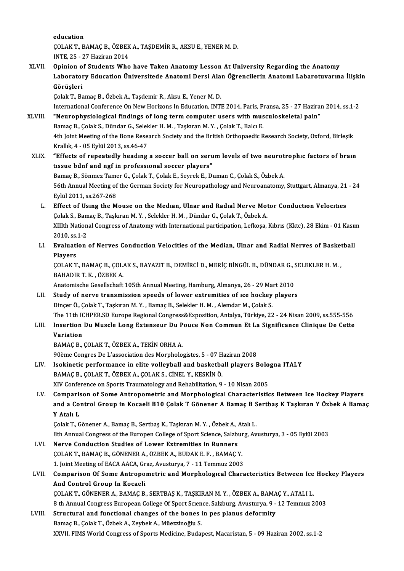education

education<br>ÇOLAK T., BAMAÇ B., ÖZBEK A., TAŞDEMİR R., AKSU E., YENER M. D.<br>INTE. 25. - 27 Harinan 2014 education<br>ÇOLAK T., BAMAÇ B., ÖZBEK<br>INTE, 25 - 27 Haziran 2014<br>Oninion of Students Who

COLAK T., BAMAC B., ÖZBEK A., TAŞDEMİR R., AKSU E., YENER M. D.<br>INTE, 25 - 27 Haziran 2014<br>XLVII. Opinion of Students Who have Taken Anatomy Lesson At University Regarding the Anatomy<br>Laberatory Education Universiteds Anat INTE, 25 - 27 Haziran 2014<br>Opinion of Students Who have Taken Anatomy Lesson At University Regarding the Anatomy<br>Laboratory Education Üniversitede Anatomi Dersi Alan Öğrencilerin Anatomi Labarotuvarına İlişkin<br>Görüşleri Opinion o<br>Laborator<br>Görüşleri<br><sup>Colak T. Bo</sup>

Çolak T., Bamaç B., Özbek A., Taşdemir R., Aksu E., Yener M.D.

International Conference On New Horizons In Education, INTE 2014, Paris, Fransa, 25 - 27 Haziran 2014, ss.1-2 XLVIII. "Neurophysiological findings of long term computer users with musculoskeletal pain" Bamaç B., Çolak S., Dündar G., Selekler H. M., Taşkıran M.Y., Çolak T., Balcı E. **"Neurophysiological findings of long term computer users with musculoskeletal pain"**<br>Bamaç B., Çolak S., Dündar G., Selekler H. M. , Taşkıran M. Y. , Çolak T., Balcı E.<br>4th Joint Meeting of the Bone Research Society and t Bamaç B., Çolak S., Dündar G., Selek<br>4th Joint Meeting of the Bone Rese:<br>Krallık, 4 - 05 Eylül 2013, ss.46-47<br>"Effects of repeatedly beadups

- 4th Joint Meeting of the Bone Research Society and the British Orthopaedic Research Society, Oxford, Birleşik<br>Krallık, 4 05 Eylül 2013, ss.46-47<br>XLIX. "Effects of repeatedly heading a soccer ball on serum levels of two n Krallık, 4 - 05 Eylül 2013, ss.46-47<br>"Effects of repeatedly heading a soccer ball on seritissue bdnf and ngf in professional soccer players" "Effects of repeatedly heading a soccer ball on serum levels of two neurotrophic factors of brain 56th Annual Meeting of the German Society for Neuropathology and Neuroanatomy, Stuttgart, Almanya, 21 - 24<br>Eylül 2011, ss.267-268 Bamaç B., Sönmez Tamer G., Çolak T., Çolak E., Seyrek E., Duman C., Çolak S., Özbek A.
	- L. Effect of Using the Mouse on the Median, Ulnar and Radial Nerve Motor Conduction Velocities Eylül 2011, ss.267-268<br>Effect of Using the Mouse on the Median, Ulnar and Radial Nerve Mot<br>Çolak S., Bamaç B., Taşkıran M.Y. , Selekler H. M. , Dündar G., Çolak T., Özbek A.<br>Y.W.h. National Congress of Anatomy with Interna Effect of Using the Mouse on the Median, Ulnar and Radial Nerve Motor Conduction Velocities<br>Çolak S., Bamaç B., Taşkıran M. Y. , Selekler H. M. , Dündar G., Çolak T., Özbek A.<br>XIIIth National Congress of Anatomy with Inter Colak S., Bam<br>XIIIth Nation<br>2010, ss.1-2<br>Evaluation XIIIth National Congress of Anatomy with International participation, Lefkoşa, Kıbrıs (Kktc), 28 Ekim - 01 Kası<br>2010, ss.1-2<br>LI. Evaluation of Nerves Conduction Velocities of the Median, Ulnar and Radial Nerves of Basketba

# 2010, ss.1-2<br>LI. Evaluation of Nerves Conduction Velocities of the Median, Ulnar and Radial Nerves of Basketball<br>Players Evaluation of Nerves Conduction Velocities of the Median, Ulnar and Radial Nerves of Basket<br>Players<br>ÇOLAK T., BAMAÇ B., ÇOLAK S., BAYAZIT B., DEMİRCİ D., MERİÇ BİNGÜL B., DÜNDAR G., SELEKLER H. M. ,<br>RAHADIR T. K., ÖZREK A

Pl<mark>ayers</mark><br>ÇOLAK T., BAMAÇ B., ÇOL.<br>BAHADIR T. K. , ÖZBEK A.<br>Anatomisebe Cesellsebeft COLAK T., BAMAC B., COLAK S., BAYAZIT B., DEMİRCİ D., MERİÇ BİNGÜL B., DÜNDAR G., S<br>BAHADIR T. K. , ÖZBEK A.<br>Anatomische Gesellschaft 105th Annual Meeting, Hamburg, Almanya, 26 - 29 Mart 2010<br>Study of narve transmission sp

BAHADIR T. K., ÖZBEK A.<br>Anatomische Gesellschaft 105th Annual Meeting, Hamburg, Almanya, 26 - 29 Mart 2010<br>LII. Study of nerve transmission speeds of lower extremities of ice hockey players<br>Dinger Ö. Colak T. Taglaran M. V Anatomische Gesellschaft 105th Annual Meeting, Hamburg, Almanya, 26 - 29 Ma<br>Study of nerve transmission speeds of lower extremities of ice hockey<br>Dinçer Ö., Çolak T., Taşkıran M. Y. , Bamaç B., Selekler H. M. , Alemdar M., Study of nerve transmission speeds of lower extremities of 1ce hockey players<br>Dinçer Ö., Çolak T., Taşkıran M. Y. , Bamaç B., Selekler H. M. , Alemdar M., Çolak S.<br>The 11th ICHPER.SD Europe Regional Congress&Exposition, An Dinçer Ö., Çolak T., Taşkıran M. Y. , Bamaç B., Selekler H. M. , Alemdar M., Çolak S.<br>The 11th ICHPER.SD Europe Regional Congress&Exposition, Antalya, Türkiye, 22 - 24 Nisan 2009, ss.555-556<br>LIII. Insertion Du Muscle Long

# The 11th I<mark>(</mark><br>Insertion<br>Variation<br><sup>RAMAC B</sup> LIII. Insertion Du Muscle Long Extenseur Du Pouce Non Commun Et La Significance Clinique De Cette<br>Variation<br>BAMAÇ B., ÇOLAK T., ÖZBEK A., TEKİN ORHA A.

90ème Congres De L'association des Morphologistes, 5 - 07 Haziran 2008

BAMAÇ B., ÇOLAK T., ÖZBEK A., TEKİN ORHA A.<br>90ème Congres De L'association des Morphologistes, 5 - 07 Haziran 2008<br>LIV. Isokinetic performance in elite volleyball and basketball players Bologna ITALY BAMAÇ B., ÇOLAK T., ÖZBEK A., ÇOLAK S., CİNEL Y., KESKİN Ö.<br>XIV Conference on Sports Traumatology and Rehabilitation, 9 - 10 Nisan 2005 Isokinetic performance in elite volleyball and basketball players Bolo<br>BAMAÇ B., ÇOLAK T., ÖZBEK A., ÇOLAK S., CİNEL Y., KESKİN Ö.<br>XIV Conference on Sports Traumatology and Rehabilitation, 9 - 10 Nisan 2005<br>Comparison of S

LV. Comparison of Some Antropometric and Morphological Characteristics Between Ice Hockey Players XIV Conference on Sports Traumatology and Rehabilitation, 9 - 10 Nisan 2005<br>Comparison of Some Antropometric and Morphological Characteristics Between Ice Hockey Players<br>and a Control Group in Kocaeli B10 Çolak T Gönener A Comparis<br>and a Co<br>Y Atalı L<br>Colak T. C and a Control Group in Kocaeli B10 Çolak T Gönener A Bamaç B S<br>Y Atalı L<br>Çolak T., Gönener A., Bamaç B., Sertbaş K., Taşkıran M. Y. , Özbek A., Atalı L.<br><sup>9th Annual Congress of the Europen Collage of Sport Science Salzburg</sup> Y Atalı L<br>Çolak T., Gönener A., Bamaç B., Sertbaş K., Taşkıran M. Y. , Özbek A., Atalı L.<br>8th Annual Congress of the Europen College of Sport Science, Salzburg, Avusturya, 3 - 05 Eylül 2003<br>Narve Conduction Studies of Lowe

Colak T., Gönener A., Bamaç B., Sertbaş K., Taşkıran M. Y. , Özbek A., Atalı L.<br>8th Annual Congress of the Europen College of Sport Science, Salzburg, Av<br>LVI. Nerve Conduction Studies of Lower Extremities in Runners

- 
- 8th Annual Congress of the Europen College of Sport Science, Salzbur<br>Nerve Conduction Studies of Lower Extremities in Runners<br>ÇOLAK T., BAMAÇ B., GÖNENER A., ÖZBEK A., BUDAK E. F. , BAMAÇ Y.<br>1. Joint Mosting of FACA AACA, COLAK T., BAMAC B., GÖNENER A., ÖZBEK A., BUDAK E. F., BAMAC Y.
- COLAK T., BAMAÇ B., GÖNENER A., ÖZBEK A., BUDAK E. F. , BAMAÇ Y.<br>1. Joint Meeting of EACA AACA, Graz, Avusturya, 7 11 Temmuz 2003<br>LVII. Comparison Of Some Antropometric and Morphological Characteristics Between Ice Hocke 1. Joint Meeting of EACA AACA, Graz, Avusturya, 7 - 11 Temmuz 2003<br>Comparison Of Some Antropometric and Morphological Characteristics Between Ice<br>And Control Group In Kocaeli<br>COLAK T., GÖNENER A., BAMAC B., SERTBAS K., TAS Comparison Of Some Antropometric and Morphological Characteristics Between Ice<br>And Control Group In Kocaeli<br>COLAK T., GÖNENER A., BAMAÇ B., SERTBAŞ K., TAŞKIRAN M.Y. , ÖZBEK A., BAMAÇ Y., ATALI L.<br>8 th Annual Congress Euro

And Control Group In Kocaeli<br>ÇOLAK T., GÖNENER A., BAMAÇ B., SERTBAŞ K., TAŞKIRAN M. Y. , ÖZBEK A., BAMAÇ Y., ATALI L.<br>8 th Annual Congress European College Of Sport Science, Salzburg, Avusturya, 9 - 12 Temmuz 2003<br>Structu COLAK T., GÖNENER A., BAMAC B., SERTBAŞ K., TAŞKIRAN M. Y., ÖZBEK A., BAMA<br>8 th Annual Congress European College Of Sport Science, Salzburg, Avusturya, 9 -<br>LVIII. Structural and functional changes of the bones in pes planu

# 8 th Annual Congress European College Of Sport Scien<br>Structural and functional changes of the bones i<br>Bamaç B., Çolak T., Özbek A., Zeybek A., Müezzinoğlu S.<br>YYVIL EIMS World Congress of Sports Modisine, Budat Structural and functional changes of the bones in pes planus deformity<br>Bamaç B., Çolak T., Özbek A., Zeybek A., Müezzinoğlu S.<br>XXVII. FIMS World Congress of Sports Medicine, Budapest, Macaristan, 5 - 09 Haziran 2002, ss.1-